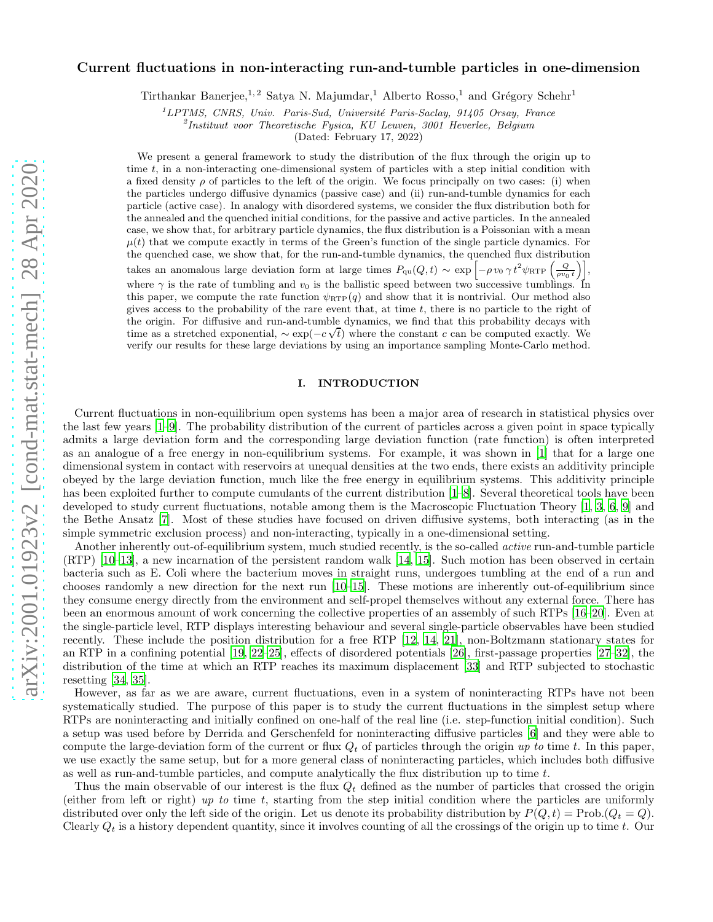# Current fluctuations in non-interacting run-and-tumble particles in one-dimension

Tirthankar Banerjee,<sup>1, 2</sup> Satya N. Majumdar,<sup>1</sup> Alberto Rosso,<sup>1</sup> and Grégory Schehr<sup>1</sup>

 ${}^{1}LPTMS$ , CNRS, Univ. Paris-Sud, Université Paris-Saclay, 91405 Orsay, France

2 Instituut voor Theoretische Fysica, KU Leuven, 3001 Heverlee, Belgium

(Dated: February 17, 2022)

We present a general framework to study the distribution of the flux through the origin up to time t, in a non-interacting one-dimensional system of particles with a step initial condition with a fixed density  $\rho$  of particles to the left of the origin. We focus principally on two cases: (i) when the particles undergo diffusive dynamics (passive case) and (ii) run-and-tumble dynamics for each particle (active case). In analogy with disordered systems, we consider the flux distribution both for the annealed and the quenched initial conditions, for the passive and active particles. In the annealed case, we show that, for arbitrary particle dynamics, the flux distribution is a Poissonian with a mean  $\mu(t)$  that we compute exactly in terms of the Green's function of the single particle dynamics. For the quenched case, we show that, for the run-and-tumble dynamics, the quenched flux distribution takes an anomalous large deviation form at large times  $P_{qu}(Q, t) \sim \exp \left[ -\rho v_0 \gamma t^2 \psi_{\text{RTP}} \left( \frac{Q}{\rho v_0 t} \right) \right],$ where  $\gamma$  is the rate of tumbling and  $v_0$  is the ballistic speed between two successive tumblings. In this paper, we compute the rate function  $\psi_{\text{RTP}}(q)$  and show that it is nontrivial. Our method also gives access to the probability of the rare event that, at time  $t$ , there is no particle to the right of the origin. For diffusive and run-and-tumble dynamics, we find that this probability decays with time as a stretched exponential,  $\sim \exp(-c\sqrt{t})$  where the constant c can be computed exactly. We verify our results for these large deviations by using an importance sampling Monte-Carlo method.

### I. INTRODUCTION

Current fluctuations in non-equilibrium open systems has been a major area of research in statistical physics over the last few years [\[1](#page-19-0)[–9](#page-20-0)]. The probability distribution of the current of particles across a given point in space typically admits a large deviation form and the corresponding large deviation function (rate function) is often interpreted as an analogue of a free energy in non-equilibrium systems. For example, it was shown in [\[1\]](#page-19-0) that for a large one dimensional system in contact with reservoirs at unequal densities at the two ends, there exists an additivity principle obeyed by the large deviation function, much like the free energy in equilibrium systems. This additivity principle has been exploited further to compute cumulants of the current distribution [\[1](#page-19-0)[–8\]](#page-20-1). Several theoretical tools have been developed to study current fluctuations, notable among them is the Macroscopic Fluctuation Theory [\[1](#page-19-0), [3,](#page-20-2) [6,](#page-20-3) [9\]](#page-20-0) and the Bethe Ansatz [\[7\]](#page-20-4). Most of these studies have focused on driven diffusive systems, both interacting (as in the simple symmetric exclusion process) and non-interacting, typically in a one-dimensional setting.

Another inherently out-of-equilibrium system, much studied recently, is the so-called *active* run-and-tumble particle (RTP) [\[10](#page-20-5)[–13\]](#page-20-6), a new incarnation of the persistent random walk [\[14](#page-20-7), [15\]](#page-20-8). Such motion has been observed in certain bacteria such as E. Coli where the bacterium moves in straight runs, undergoes tumbling at the end of a run and chooses randomly a new direction for the next run [\[10–](#page-20-5)[15\]](#page-20-8). These motions are inherently out-of-equilibrium since they consume energy directly from the environment and self-propel themselves without any external force. There has been an enormous amount of work concerning the collective properties of an assembly of such RTPs [\[16](#page-20-9)[–20\]](#page-20-10). Even at the single-particle level, RTP displays interesting behaviour and several single-particle observables have been studied recently. These include the position distribution for a free RTP [\[12,](#page-20-11) [14,](#page-20-7) [21\]](#page-20-12), non-Boltzmann stationary states for an RTP in a confining potential [\[19,](#page-20-13) [22](#page-20-14)[–25\]](#page-20-15), effects of disordered potentials [\[26\]](#page-20-16), first-passage properties [\[27](#page-20-17)[–32](#page-20-18)], the distribution of the time at which an RTP reaches its maximum displacement [\[33\]](#page-20-19) and RTP subjected to stochastic resetting [\[34,](#page-20-20) [35\]](#page-20-21).

However, as far as we are aware, current fluctuations, even in a system of noninteracting RTPs have not been systematically studied. The purpose of this paper is to study the current fluctuations in the simplest setup where RTPs are noninteracting and initially confined on one-half of the real line (i.e. step-function initial condition). Such a setup was used before by Derrida and Gerschenfeld for noninteracting diffusive particles [\[6](#page-20-3)] and they were able to compute the large-deviation form of the current or flux  $Q_t$  of particles through the origin up to time t. In this paper, we use exactly the same setup, but for a more general class of noninteracting particles, which includes both diffusive as well as run-and-tumble particles, and compute analytically the flux distribution up to time  $t$ .

Thus the main observable of our interest is the flux  $Q_t$  defined as the number of particles that crossed the origin (either from left or right) up to time t, starting from the step initial condition where the particles are uniformly distributed over only the left side of the origin. Let us denote its probability distribution by  $P(Q, t) = \text{Prob}(Q_t = Q)$ . Clearly  $Q_t$  is a history dependent quantity, since it involves counting of all the crossings of the origin up to time t. Our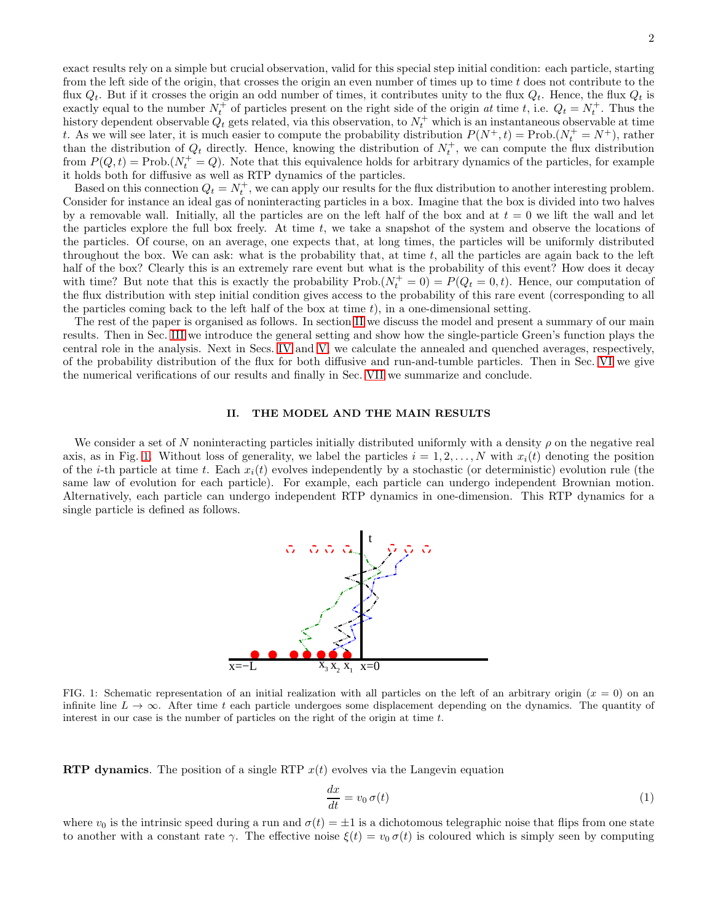exact results rely on a simple but crucial observation, valid for this special step initial condition: each particle, starting from the left side of the origin, that crosses the origin an even number of times up to time  $t$  does not contribute to the flux  $Q_t$ . But if it crosses the origin an odd number of times, it contributes unity to the flux  $Q_t$ . Hence, the flux  $Q_t$  is exactly equal to the number  $N_t^+$  of particles present on the right side of the origin at time t, i.e.  $Q_t = N_t^+$ . Thus the history dependent observable  $Q_t$  gets related, via this observation, to  $N_t^+$  which is an instantaneous observable at time t. As we will see later, it is much easier to compute the probability distribution  $P(N^+, t) = \text{Prob.}(N_t^+ = N^+)$ , rather than the distribution of  $Q_t$  directly. Hence, knowing the distribution of  $N_t^+$ , we can compute the flux distribution from  $P(Q, t) = \text{Prob.}(N_t^+ = Q)$ . Note that this equivalence holds for arbitrary dynamics of the particles, for example it holds both for diffusive as well as RTP dynamics of the particles.

Based on this connection  $Q_t = N_t^+$ , we can apply our results for the flux distribution to another interesting problem. Consider for instance an ideal gas of noninteracting particles in a box. Imagine that the box is divided into two halves by a removable wall. Initially, all the particles are on the left half of the box and at  $t = 0$  we lift the wall and let the particles explore the full box freely. At time  $t$ , we take a snapshot of the system and observe the locations of the particles. Of course, on an average, one expects that, at long times, the particles will be uniformly distributed throughout the box. We can ask: what is the probability that, at time  $t$ , all the particles are again back to the left half of the box? Clearly this is an extremely rare event but what is the probability of this event? How does it decay with time? But note that this is exactly the probability  $\text{Prob.}(N_t^+ = 0) = P(Q_t = 0, t)$ . Hence, our computation of the flux distribution with step initial condition gives access to the probability of this rare event (corresponding to all the particles coming back to the left half of the box at time  $t$ ), in a one-dimensional setting.

The rest of the paper is organised as follows. In section [II](#page-1-0) we discuss the model and present a summary of our main results. Then in Sec. [III](#page-6-0) we introduce the general setting and show how the single-particle Green's function plays the central role in the analysis. Next in Secs. [IV](#page-7-0) and [V,](#page-8-0) we calculate the annealed and quenched averages, respectively, of the probability distribution of the flux for both diffusive and run-and-tumble particles. Then in Sec. [VI](#page-16-0) we give the numerical verifications of our results and finally in Sec. [VII](#page-17-0) we summarize and conclude.

## <span id="page-1-0"></span>II. THE MODEL AND THE MAIN RESULTS

We consider a set of N noninteracting particles initially distributed uniformly with a density  $\rho$  on the negative real axis, as in Fig. [1.](#page-1-1) Without loss of generality, we label the particles  $i = 1, 2, ..., N$  with  $x_i(t)$  denoting the position of the *i*-th particle at time t. Each  $x_i(t)$  evolves independently by a stochastic (or deterministic) evolution rule (the same law of evolution for each particle). For example, each particle can undergo independent Brownian motion. Alternatively, each particle can undergo independent RTP dynamics in one-dimension. This RTP dynamics for a single particle is defined as follows.



<span id="page-1-1"></span>FIG. 1: Schematic representation of an initial realization with all particles on the left of an arbitrary origin  $(x = 0)$  on an infinite line  $L \to \infty$ . After time t each particle undergoes some displacement depending on the dynamics. The quantity of interest in our case is the number of particles on the right of the origin at time  $t$ .

**RTP** dynamics. The position of a single RTP  $x(t)$  evolves via the Langevin equation

$$
\frac{dx}{dt} = v_0 \,\sigma(t) \tag{1}
$$

where  $v_0$  is the intrinsic speed during a run and  $\sigma(t) = \pm 1$  is a dichotomous telegraphic noise that flips from one state to another with a constant rate  $\gamma$ . The effective noise  $\xi(t) = v_0 \sigma(t)$  is coloured which is simply seen by computing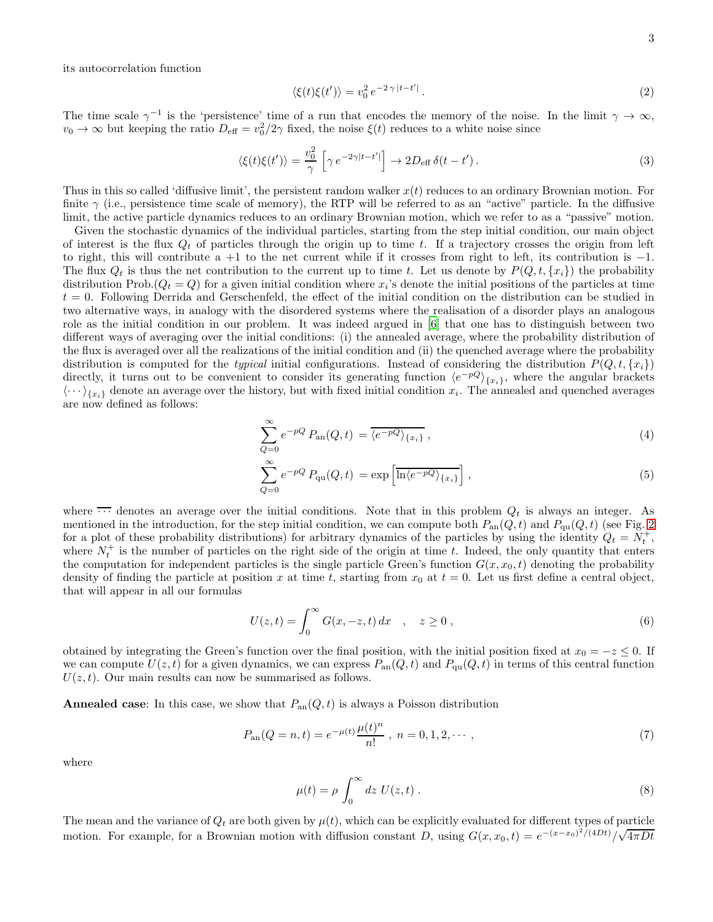its autocorrelation function

$$
\langle \xi(t)\xi(t')\rangle = v_0^2 e^{-2\gamma |t-t'|}.
$$
\n(2)

The time scale  $\gamma^{-1}$  is the 'persistence' time of a run that encodes the memory of the noise. In the limit  $\gamma \to \infty$ ,  $v_0 \to \infty$  but keeping the ratio  $D_{\text{eff}} = v_0^2/2\gamma$  fixed, the noise  $\xi(t)$  reduces to a white noise since

$$
\langle \xi(t)\xi(t')\rangle = \frac{v_0^2}{\gamma} \left[\gamma e^{-2\gamma|t-t'|}\right] \to 2D_{\text{eff}}\,\delta(t-t').\tag{3}
$$

Thus in this so called 'diffusive limit', the persistent random walker  $x(t)$  reduces to an ordinary Brownian motion. For finite  $\gamma$  (i.e., persistence time scale of memory), the RTP will be referred to as an "active" particle. In the diffusive limit, the active particle dynamics reduces to an ordinary Brownian motion, which we refer to as a "passive" motion.

Given the stochastic dynamics of the individual particles, starting from the step initial condition, our main object of interest is the flux  $Q_t$  of particles through the origin up to time t. If a trajectory crosses the origin from left to right, this will contribute a +1 to the net current while if it crosses from right to left, its contribution is −1. The flux  $Q_t$  is thus the net contribution to the current up to time t. Let us denote by  $P(Q, t, \{x_i\})$  the probability distribution Prob. $(Q_t = Q)$  for a given initial condition where  $x_i$ 's denote the initial positions of the particles at time  $t = 0$ . Following Derrida and Gerschenfeld, the effect of the initial condition on the distribution can be studied in two alternative ways, in analogy with the disordered systems where the realisation of a disorder plays an analogous role as the initial condition in our problem. It was indeed argued in [\[6](#page-20-3)] that one has to distinguish between two different ways of averaging over the initial conditions: (i) the annealed average, where the probability distribution of the flux is averaged over all the realizations of the initial condition and (ii) the quenched average where the probability distribution is computed for the typical initial configurations. Instead of considering the distribution  $P(Q, t, \{x_i\})$ directly, it turns out to be convenient to consider its generating function  $\langle e^{-pq} \rangle_{\{x_i\}}$ , where the angular brackets  $\langle \cdots \rangle_{\{x_i\}}$  denote an average over the history, but with fixed initial condition  $x_i$ . The annealed and quenched averages are now defined as follows:

<span id="page-2-2"></span>
$$
\sum_{Q=0}^{\infty} e^{-pQ} P_{\text{an}}(Q, t) = \overline{\langle e^{-pQ} \rangle_{\{x_i\}}},\tag{4}
$$

$$
\sum_{Q=0}^{\infty} e^{-pQ} P_{\text{qu}}(Q, t) = \exp\left[\overline{\ln\langle e^{-pQ} \rangle_{\{x_i\}}}\right],\tag{5}
$$

where  $\overline{\cdots}$  denotes an average over the initial conditions. Note that in this problem  $Q_t$  is always an integer. As mentioned in the introduction, for the step initial condition, we can compute both  $P_{an}(Q, t)$  and  $P_{qu}(Q, t)$  (see Fig. [2](#page-3-0)) for a plot of these probability distributions) for arbitrary dynamics of the particles by using the identity  $Q_t = N_t^+$ , where  $N_t^+$  is the number of particles on the right side of the origin at time t. Indeed, the only quantity that enters the computation for independent particles is the single particle Green's function  $G(x, x_0, t)$  denoting the probability density of finding the particle at position x at time t, starting from  $x_0$  at  $t = 0$ . Let us first define a central object, that will appear in all our formulas

<span id="page-2-0"></span>
$$
U(z,t) = \int_0^\infty G(x,-z,t) dx \quad , \quad z \ge 0 , \tag{6}
$$

obtained by integrating the Green's function over the final position, with the initial position fixed at  $x_0 = -z \leq 0$ . If we can compute  $U(z, t)$  for a given dynamics, we can express  $P_{an}(Q, t)$  and  $P_{qu}(Q, t)$  in terms of this central function  $U(z, t)$ . Our main results can now be summarised as follows.

**Annealed case**: In this case, we show that  $P_{an}(Q, t)$  is always a Poisson distribution

<span id="page-2-1"></span>
$$
P_{\text{an}}(Q = n, t) = e^{-\mu(t)} \frac{\mu(t)^n}{n!} \,, \ n = 0, 1, 2, \cdots \,, \tag{7}
$$

where

<span id="page-2-3"></span>
$$
\mu(t) = \rho \int_0^\infty dz \ U(z, t) \ . \tag{8}
$$

The mean and the variance of  $Q_t$  are both given by  $\mu(t)$ , which can be explicitly evaluated for different types of particle motion. For example, for a Brownian motion with diffusion constant D, using  $G(x, x_0, t) = e^{-(x-x_0)^2/(4Dt)} / \sqrt{4\pi Dt}$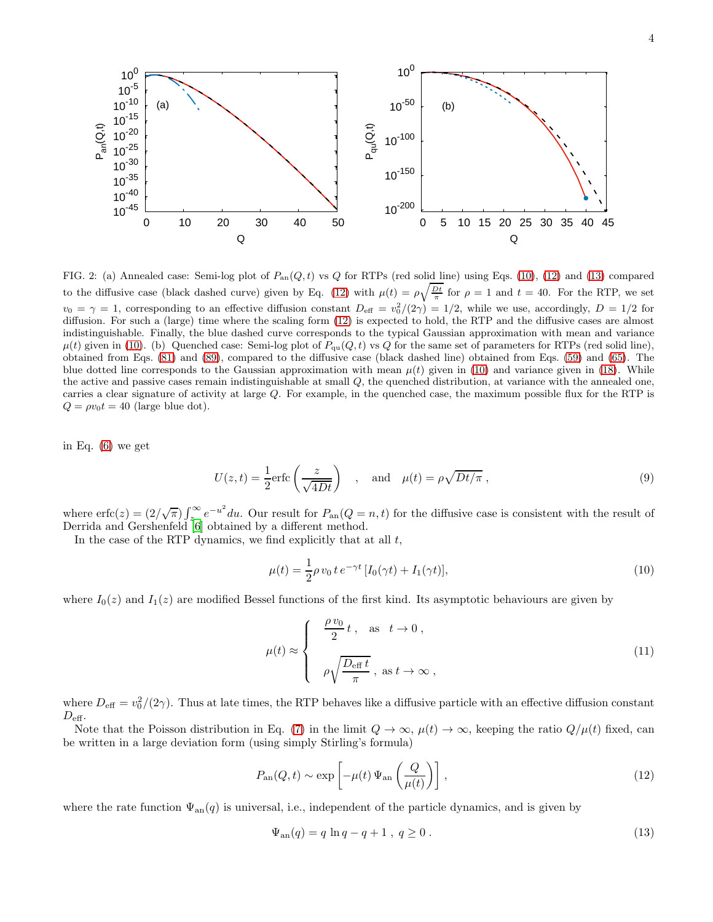

<span id="page-3-0"></span>FIG. 2: (a) Annealed case: Semi-log plot of  $P_{an}(Q, t)$  vs Q for RTPs (red solid line) using Eqs. [\(10\)](#page-3-1), [\(12\)](#page-3-2) and [\(13\)](#page-3-3) compared to the diffusive case (black dashed curve) given by Eq. [\(12\)](#page-3-2) with  $\mu(t) = \rho \sqrt{\frac{Dt}{\pi}}$  for  $\rho = 1$  and  $t = 40$ . For the RTP, we set  $v_0 = \gamma = 1$ , corresponding to an effective diffusion constant  $D_{\text{eff}} = v_0^2/(2\gamma) = 1/2$ , while we use, accordingly,  $D = 1/2$  for diffusion. For such a (large) time where the scaling form [\(12\)](#page-3-2) is expected to hold, the RTP and the diffusive cases are almost indistinguishable. Finally, the blue dashed curve corresponds to the typical Gaussian approximation with mean and variance  $\mu(t)$  given in [\(10\)](#page-3-1). (b) Quenched case: Semi-log plot of  $P_{qu}(Q, t)$  vs Q for the same set of parameters for RTPs (red solid line), obtained from Eqs. [\(81\)](#page-12-0) and [\(89\)](#page-14-0), compared to the diffusive case (black dashed line) obtained from Eqs. [\(59\)](#page-9-0) and [\(65\)](#page-10-0). The blue dotted line corresponds to the Gaussian approximation with mean  $\mu(t)$  given in [\(10\)](#page-3-1) and variance given in [\(18\)](#page-4-0). While the active and passive cases remain indistinguishable at small Q, the quenched distribution, at variance with the annealed one, carries a clear signature of activity at large Q. For example, in the quenched case, the maximum possible flux for the RTP is  $Q = \rho v_0 t = 40$  (large blue dot).

in Eq. [\(6\)](#page-2-0) we get

<span id="page-3-4"></span>
$$
U(z,t) = \frac{1}{2} \text{erfc}\left(\frac{z}{\sqrt{4Dt}}\right) \quad , \quad \text{and} \quad \mu(t) = \rho \sqrt{Dt/\pi} \,, \tag{9}
$$

where  $erfc(z) = (2/\sqrt{\pi}) \int_{z_0}^{\infty} e^{-u^2} du$ . Our result for  $P_{an}(Q = n, t)$  for the diffusive case is consistent with the result of Derrida and Gershenfeld [\[6](#page-20-3)] obtained by a different method.

In the case of the RTP dynamics, we find explicitly that at all  $t$ ,

<span id="page-3-1"></span>
$$
\mu(t) = \frac{1}{2}\rho v_0 t e^{-\gamma t} [I_0(\gamma t) + I_1(\gamma t)],
$$
\n(10)

where  $I_0(z)$  and  $I_1(z)$  are modified Bessel functions of the first kind. Its asymptotic behaviours are given by

$$
\mu(t) \approx \begin{cases}\n\frac{\rho v_0}{2} t , & \text{as } t \to 0, \\
\rho \sqrt{\frac{D_{\text{eff}} t}{\pi}}, & \text{as } t \to \infty,\n\end{cases}
$$
\n(11)

where  $D_{\text{eff}} = v_0^2/(2\gamma)$ . Thus at late times, the RTP behaves like a diffusive particle with an effective diffusion constant  $D_{\text{eff}}$ .

Note that the Poisson distribution in Eq. [\(7\)](#page-2-1) in the limit  $Q \to \infty$ ,  $\mu(t) \to \infty$ , keeping the ratio  $Q/\mu(t)$  fixed, can be written in a large deviation form (using simply Stirling's formula)

<span id="page-3-2"></span>
$$
P_{\rm an}(Q,t) \sim \exp\left[-\mu(t)\,\Psi_{\rm an}\left(\frac{Q}{\mu(t)}\right)\right],\tag{12}
$$

where the rate function  $\Psi_{an}(q)$  is universal, i.e., independent of the particle dynamics, and is given by

<span id="page-3-3"></span>
$$
\Psi_{\rm an}(q) = q \ln q - q + 1 \,, \ q \ge 0 \,. \tag{13}
$$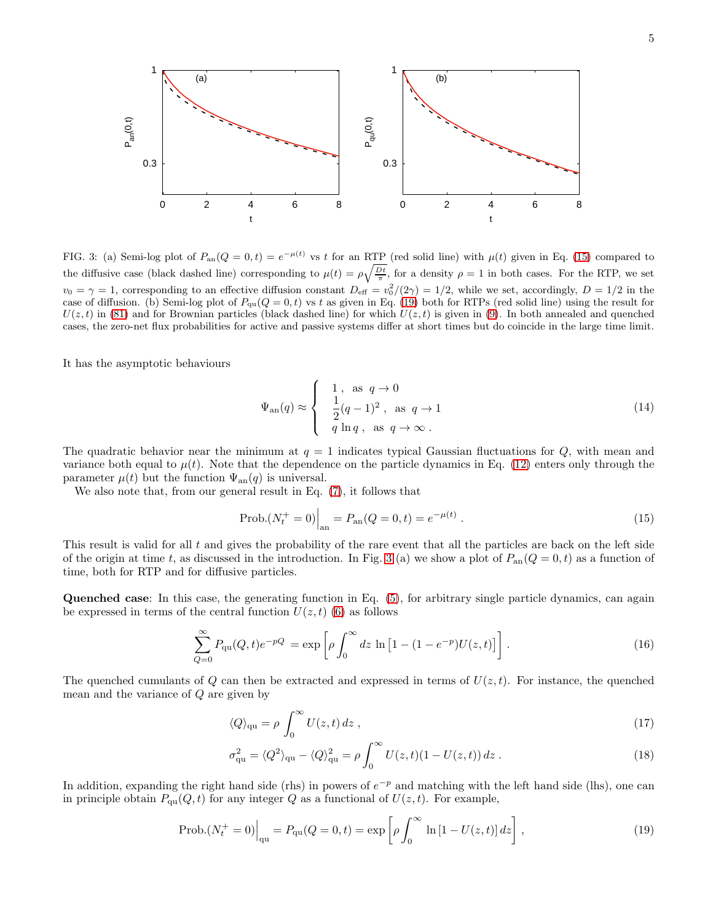

<span id="page-4-3"></span>FIG. 3: (a) Semi-log plot of  $P_{an}(Q=0,t) = e^{-\mu(t)}$  vs t for an RTP (red solid line) with  $\mu(t)$  given in Eq. [\(15\)](#page-4-1) compared to the diffusive case (black dashed line) corresponding to  $\mu(t) = \rho \sqrt{\frac{Dt}{\pi}}$ , for a density  $\rho = 1$  in both cases. For the RTP, we set  $v_0 = \gamma = 1$ , corresponding to an effective diffusion constant  $D_{\text{eff}} = v_0^2/(2\gamma) = 1/2$ , while we set, accordingly,  $D = 1/2$  in the case of diffusion. (b) Semi-log plot of  $P_{qu}(Q = 0, t)$  vs t as given in Eq. [\(19\)](#page-4-2) both for RTPs (red solid line) using the result for  $U(z, t)$  in [\(81\)](#page-12-0) and for Brownian particles (black dashed line) for which  $U(z, t)$  is given in [\(9\)](#page-3-4). In both annealed and quenched cases, the zero-net flux probabilities for active and passive systems differ at short times but do coincide in the large time limit.

It has the asymptotic behaviours

$$
\Psi_{\rm an}(q) \approx \begin{cases} 1, & \text{as } q \to 0 \\ \frac{1}{2}(q-1)^2, & \text{as } q \to 1 \\ q \ln q, & \text{as } q \to \infty \end{cases} \tag{14}
$$

The quadratic behavior near the minimum at  $q = 1$  indicates typical Gaussian fluctuations for Q, with mean and variance both equal to  $\mu(t)$ . Note that the dependence on the particle dynamics in Eq. [\(12\)](#page-3-2) enters only through the parameter  $\mu(t)$  but the function  $\Psi_{an}(q)$  is universal.

We also note that, from our general result in Eq. [\(7\)](#page-2-1), it follows that

<span id="page-4-1"></span>
$$
Prob.(N_t^+ = 0)\Big|_{\text{an}} = P_{\text{an}}(Q = 0, t) = e^{-\mu(t)}.
$$
\n(15)

This result is valid for all  $t$  and gives the probability of the rare event that all the particles are back on the left side of the origin at time t, as discussed in the introduction. In Fig. [3](#page-4-3) (a) we show a plot of  $P_{an}(Q=0,t)$  as a function of time, both for RTP and for diffusive particles.

Quenched case: In this case, the generating function in Eq. [\(5\)](#page-2-2), for arbitrary single particle dynamics, can again be expressed in terms of the central function  $U(z, t)$  [\(6\)](#page-2-0) as follows

$$
\sum_{Q=0}^{\infty} P_{\rm qu}(Q, t) e^{-pQ} = \exp \left[ \rho \int_0^{\infty} dz \, \ln \left[ 1 - (1 - e^{-p}) U(z, t) \right] \right]. \tag{16}
$$

The quenched cumulants of Q can then be extracted and expressed in terms of  $U(z, t)$ . For instance, the quenched mean and the variance of Q are given by

<span id="page-4-0"></span>
$$
\langle Q \rangle_{\rm qu} = \rho \int_0^\infty U(z, t) \, dz \,, \tag{17}
$$

$$
\sigma_{\rm qu}^2 = \langle Q^2 \rangle_{\rm qu} - \langle Q \rangle_{\rm qu}^2 = \rho \int_0^\infty U(z, t)(1 - U(z, t)) dz . \tag{18}
$$

In addition, expanding the right hand side (rhs) in powers of  $e^{-p}$  and matching with the left hand side (lhs), one can in principle obtain  $P_{qu}(Q, t)$  for any integer Q as a functional of  $U(z, t)$ . For example,

<span id="page-4-2"></span>
$$
\text{Prob.}(N_t^+ = 0) \Big|_{\text{qu}} = P_{\text{qu}}(Q = 0, t) = \exp\left[\rho \int_0^\infty \ln\left[1 - U(z, t)\right] dz\right],\tag{19}
$$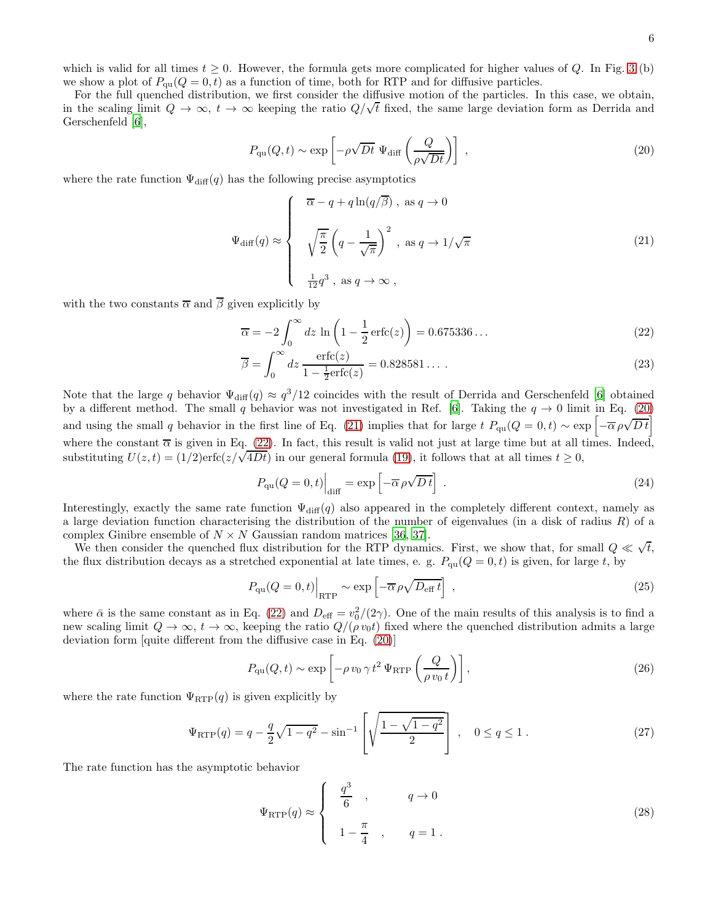which is valid for all times  $t \geq 0$ . However, the formula gets more complicated for higher values of Q. In Fig. [3](#page-4-3) (b) we show a plot of  $P_{qu}(Q = 0, t)$  as a function of time, both for RTP and for diffusive particles.

For the full quenched distribution, we first consider the diffusive motion of the particles. In this case, we obtain, in the scaling limit  $Q \to \infty$ ,  $t \to \infty$  keeping the ratio  $Q/\sqrt{t}$  fixed, the same large deviation form as Derrida and Gerschenfeld [\[6\]](#page-20-3),

<span id="page-5-0"></span>
$$
P_{\rm qu}(Q,t) \sim \exp\left[-\rho\sqrt{Dt}\ \Psi_{\rm diff}\left(\frac{Q}{\rho\sqrt{Dt}}\right)\right] \,,\tag{20}
$$

where the rate function  $\Psi_{\text{diff}}(q)$  has the following precise asymptotics

<span id="page-5-1"></span>
$$
\Psi_{\text{diff}}(q) \approx \begin{cases}\n\overline{\alpha} - q + q \ln(q/\overline{\beta}), \text{ as } q \to 0 \\
\sqrt{\frac{\pi}{2}} \left( q - \frac{1}{\sqrt{\pi}} \right)^2, \text{ as } q \to 1/\sqrt{\pi} \\
\frac{1}{12} q^3, \text{ as } q \to \infty,\n\end{cases}
$$
\n(21)

with the two constants  $\overline{\alpha}$  and  $\overline{\beta}$  given explicitly by

<span id="page-5-2"></span>
$$
\overline{\alpha} = -2 \int_0^\infty dz \ln \left( 1 - \frac{1}{2} \operatorname{erfc}(z) \right) = 0.675336 \dots \tag{22}
$$

$$
\overline{\beta} = \int_0^\infty dz \, \frac{\text{erfc}(z)}{1 - \frac{1}{2}\text{erfc}(z)} = 0.828581\ldots \,. \tag{23}
$$

Note that the large q behavior  $\Psi_{\text{diff}}(q) \approx q^3/12$  coincides with the result of Derrida and Gerschenfeld [\[6\]](#page-20-3) obtained by a different method. The small q behavior was not investigated in Ref. [\[6](#page-20-3)]. Taking the  $q \to 0$  limit in Eq. [\(20\)](#page-5-0) and using the small q behavior in the first line of Eq. [\(21\)](#page-5-1) implies that for large  $t P_{\text{qu}}(Q=0,t) \sim \exp\left[-\overline{\alpha}\rho\sqrt{Dt}\right]$ where the constant  $\overline{\alpha}$  is given in Eq. [\(22\)](#page-5-2). In fact, this result is valid not just at large time but at all times. Indeed, substituting  $U(z,t) = (1/2) \text{erfc}(z/\sqrt{4Dt})$  in our general formula [\(19\)](#page-4-2), it follows that at all times  $t \ge 0$ ,

<span id="page-5-3"></span>
$$
P_{\rm qu}(Q=0,t)\Big|_{\rm diff} = \exp\left[-\overline{\alpha}\,\rho\sqrt{D\,t}\right] \ . \tag{24}
$$

Interestingly, exactly the same rate function  $\Psi_{\text{diff}}(q)$  also appeared in the completely different context, namely as a large deviation function characterising the distribution of the number of eigenvalues (in a disk of radius  $R$ ) of a complex Ginibre ensemble of  $N \times N$  Gaussian random matrices [\[36,](#page-20-22) [37\]](#page-20-23).

We then consider the quenched flux distribution for the RTP dynamics. First, we show that, for small  $Q \ll \sqrt{t}$ , the flux distribution decays as a stretched exponential at late times, e. g.  $P_{\text{qu}}(Q=0,t)$  is given, for large t, by

$$
P_{\rm qu}(Q=0,t)\Big|_{\rm RTP} \sim \exp\left[-\overline{\alpha}\,\rho\sqrt{D_{\rm eff}\,t}\right] \,,\tag{25}
$$

where  $\bar{\alpha}$  is the same constant as in Eq. [\(22\)](#page-5-2) and  $D_{\text{eff}} = v_0^2/(2\gamma)$ . One of the main results of this analysis is to find a new scaling limit  $Q \to \infty$ ,  $t \to \infty$ , keeping the ratio  $Q/(\rho v_0 t)$  fixed where the quenched distribution admits a large deviation form [quite different from the diffusive case in Eq. [\(20\)](#page-5-0)]

$$
P_{\rm qu}(Q,t) \sim \exp\left[-\rho v_0 \gamma t^2 \Psi_{\rm RTP}\left(\frac{Q}{\rho v_0 t}\right)\right],\tag{26}
$$

where the rate function  $\Psi_{\text{RTP}}(q)$  is given explicitly by

<span id="page-5-4"></span>
$$
\Psi_{\rm RTP}(q) = q - \frac{q}{2}\sqrt{1 - q^2} - \sin^{-1}\left[\sqrt{\frac{1 - \sqrt{1 - q^2}}{2}}\right], \quad 0 \le q \le 1.
$$
\n(27)

The rate function has the asymptotic behavior

<span id="page-5-5"></span>
$$
\Psi_{\rm RTP}(q) \approx \begin{cases}\n\frac{q^3}{6} , & q \to 0 \\
1 - \frac{\pi}{4} , & q = 1 .\n\end{cases}
$$
\n(28)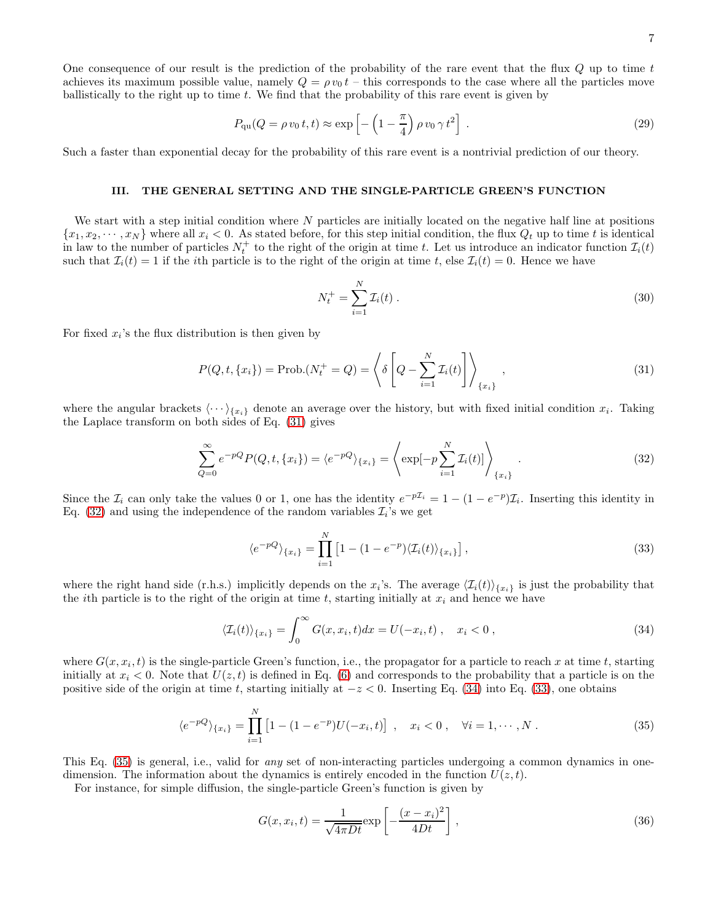7

One consequence of our result is the prediction of the probability of the rare event that the flux  $Q$  up to time  $t$ achieves its maximum possible value, namely  $Q = \rho v_0 t$  – this corresponds to the case where all the particles move ballistically to the right up to time  $t$ . We find that the probability of this rare event is given by

$$
P_{\rm qu}(Q = \rho v_0 t, t) \approx \exp\left[-\left(1 - \frac{\pi}{4}\right)\rho v_0 \gamma t^2\right] \,. \tag{29}
$$

Such a faster than exponential decay for the probability of this rare event is a nontrivial prediction of our theory.

## <span id="page-6-0"></span>III. THE GENERAL SETTING AND THE SINGLE-PARTICLE GREEN'S FUNCTION

We start with a step initial condition where  $N$  particles are initially located on the negative half line at positions  ${x_1, x_2, \dots, x_N}$  where all  $x_i < 0$ . As stated before, for this step initial condition, the flux  $Q_t$  up to time t is identical in law to the number of particles  $N_t^+$  to the right of the origin at time t. Let us introduce an indicator function  $\mathcal{I}_i(t)$ such that  $\mathcal{I}_i(t) = 1$  if the *i*th particle is to the right of the origin at time t, else  $\mathcal{I}_i(t) = 0$ . Hence we have

$$
N_t^+ = \sum_{i=1}^N \mathcal{I}_i(t) \,. \tag{30}
$$

For fixed  $x_i$ 's the flux distribution is then given by

<span id="page-6-1"></span>
$$
P(Q, t, \{x_i\}) = \text{Prob.}(N_t^+ = Q) = \left\langle \delta \left[ Q - \sum_{i=1}^N \mathcal{I}_i(t) \right] \right\rangle_{\{x_i\}},\tag{31}
$$

where the angular brackets  $\langle \cdots \rangle_{\{x_i\}}$  denote an average over the history, but with fixed initial condition  $x_i$ . Taking the Laplace transform on both sides of Eq. [\(31\)](#page-6-1) gives

<span id="page-6-2"></span>
$$
\sum_{Q=0}^{\infty} e^{-pQ} P(Q, t, \{x_i\}) = \langle e^{-pQ} \rangle_{\{x_i\}} = \left\langle \exp[-p \sum_{i=1}^{N} \mathcal{I}_i(t)] \right\rangle_{\{x_i\}}.
$$
\n(32)

Since the  $\mathcal{I}_i$  can only take the values 0 or 1, one has the identity  $e^{-p\mathcal{I}_i} = 1 - (1 - e^{-p})\mathcal{I}_i$ . Inserting this identity in Eq. [\(32\)](#page-6-2) and using the independence of the random variables  $\mathcal{I}_i$ 's we get

<span id="page-6-4"></span>
$$
\langle e^{-pQ} \rangle_{\{x_i\}} = \prod_{i=1}^{N} \left[ 1 - (1 - e^{-p}) \langle \mathcal{I}_i(t) \rangle_{\{x_i\}} \right],\tag{33}
$$

where the right hand side (r.h.s.) implicitly depends on the  $x_i$ 's. The average  $\langle \mathcal{I}_i(t) \rangle_{\{x_i\}}$  is just the probability that the *i*th particle is to the right of the origin at time t, starting initially at  $x_i$  and hence we have

<span id="page-6-3"></span>
$$
\langle \mathcal{I}_i(t) \rangle_{\{x_i\}} = \int_0^\infty G(x, x_i, t) dx = U(-x_i, t), \quad x_i < 0 \,, \tag{34}
$$

where  $G(x, x_i, t)$  is the single-particle Green's function, i.e., the propagator for a particle to reach x at time t, starting initially at  $x_i < 0$ . Note that  $U(z, t)$  is defined in Eq. [\(6\)](#page-2-0) and corresponds to the probability that a particle is on the positive side of the origin at time t, starting initially at  $-z < 0$ . Inserting Eq. [\(34\)](#page-6-3) into Eq. [\(33\)](#page-6-4), one obtains

<span id="page-6-5"></span>
$$
\langle e^{-pQ} \rangle_{\{x_i\}} = \prod_{i=1}^{N} \left[ 1 - (1 - e^{-p}) U(-x_i, t) \right] , \quad x_i < 0 , \quad \forall i = 1, \cdots, N . \tag{35}
$$

This Eq. [\(35\)](#page-6-5) is general, i.e., valid for any set of non-interacting particles undergoing a common dynamics in onedimension. The information about the dynamics is entirely encoded in the function  $U(z, t)$ .

For instance, for simple diffusion, the single-particle Green's function is given by

$$
G(x, x_i, t) = \frac{1}{\sqrt{4\pi Dt}} \exp\left[-\frac{(x - x_i)^2}{4Dt}\right],
$$
\n(36)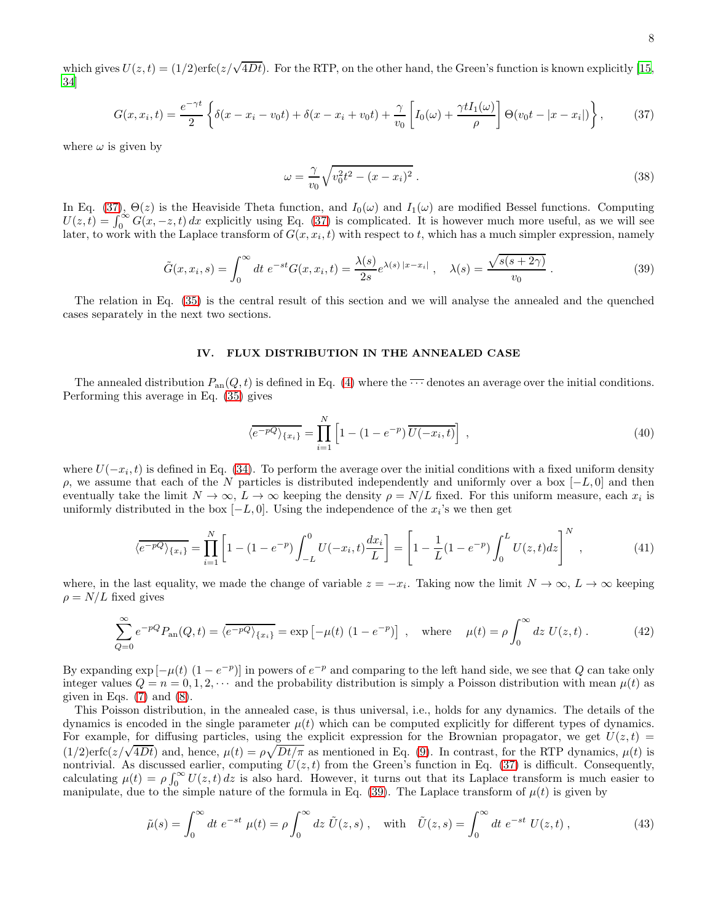which gives  $U(z,t) = (1/2) \text{erfc}(z/\sqrt{4Dt})$ . For the RTP, on the other hand, the Green's function is known explicitly [\[15](#page-20-8), [34\]](#page-20-20)

<span id="page-7-1"></span>
$$
G(x, x_i, t) = \frac{e^{-\gamma t}}{2} \left\{ \delta(x - x_i - v_0 t) + \delta(x - x_i + v_0 t) + \frac{\gamma}{v_0} \left[ I_0(\omega) + \frac{\gamma t I_1(\omega)}{\rho} \right] \Theta(v_0 t - |x - x_i|) \right\},\tag{37}
$$

where  $\omega$  is given by

$$
\omega = \frac{\gamma}{v_0} \sqrt{v_0^2 t^2 - (x - x_i)^2} \,. \tag{38}
$$

In Eq. [\(37\)](#page-7-1),  $\Theta(z)$  is the Heaviside Theta function, and  $I_0(\omega)$  and  $I_1(\omega)$  are modified Bessel functions. Computing  $U(z,t) = \int_0^\infty G(x,-z,t) dx$  explicitly using Eq. [\(37\)](#page-7-1) is complicated. It is however much more useful, as we will see later, to work with the Laplace transform of  $G(x, x_i, t)$  with respect to t, which has a much simpler expression, namely

<span id="page-7-2"></span>
$$
\tilde{G}(x,x_i,s) = \int_0^\infty dt \ e^{-st} G(x,x_i,t) = \frac{\lambda(s)}{2s} e^{\lambda(s) |x-x_i|}, \quad \lambda(s) = \frac{\sqrt{s(s+2\gamma)}}{v_0}.
$$
\n
$$
(39)
$$

The relation in Eq. [\(35\)](#page-6-5) is the central result of this section and we will analyse the annealed and the quenched cases separately in the next two sections.

### <span id="page-7-0"></span>IV. FLUX DISTRIBUTION IN THE ANNEALED CASE

The annealed distribution  $P_{\text{an}}(Q, t)$  is defined in Eq. [\(4\)](#page-2-2) where the  $\cdots$  denotes an average over the initial conditions. Performing this average in Eq. [\(35\)](#page-6-5) gives

$$
\langle e^{-pQ} \rangle_{\{x_i\}} = \prod_{i=1}^{N} \left[ 1 - (1 - e^{-p}) \overline{U(-x_i, t)} \right], \qquad (40)
$$

where  $U(-x_i, t)$  is defined in Eq. [\(34\)](#page-6-3). To perform the average over the initial conditions with a fixed uniform density ρ, we assume that each of the N particles is distributed independently and uniformly over a box  $[-L, 0]$  and then eventually take the limit  $N \to \infty$ ,  $L \to \infty$  keeping the density  $\rho = N/L$  fixed. For this uniform measure, each  $x_i$  is uniformly distributed in the box  $[-L, 0]$ . Using the independence of the  $x_i$ 's we then get

$$
\langle \overline{e^{-pQ}} \rangle_{\{x_i\}} = \prod_{i=1}^{N} \left[ 1 - (1 - e^{-p}) \int_{-L}^{0} U(-x_i, t) \frac{dx_i}{L} \right] = \left[ 1 - \frac{1}{L} (1 - e^{-p}) \int_{0}^{L} U(z, t) dz \right]^{N}, \tag{41}
$$

where, in the last equality, we made the change of variable  $z = -x_i$ . Taking now the limit  $N \to \infty$ ,  $L \to \infty$  keeping  $\rho = N/L$  fixed gives

$$
\sum_{Q=0}^{\infty} e^{-pQ} P_{\text{an}}(Q, t) = \langle e^{-pQ} \rangle_{\{x_i\}} = \exp\left[-\mu(t) \left(1 - e^{-p}\right)\right] \;, \quad \text{where} \quad \mu(t) = \rho \int_0^{\infty} dz \ U(z, t) \; . \tag{42}
$$

By expanding  $\exp[-\mu(t)] (1 - e^{-p})$  in powers of  $e^{-p}$  and comparing to the left hand side, we see that Q can take only integer values  $Q = n = 0, 1, 2, \cdots$  and the probability distribution is simply a Poisson distribution with mean  $\mu(t)$  as given in Eqs.  $(7)$  and  $(8)$ .

This Poisson distribution, in the annealed case, is thus universal, i.e., holds for any dynamics. The details of the dynamics is encoded in the single parameter  $\mu(t)$  which can be computed explicitly for different types of dynamics. For example, for diffusing particles, using the explicit expression for the Brownian propagator, we get  $U(z, t)$  =  $(1/2)$ erfc $(z/\sqrt{4Dt})$  and, hence,  $\mu(t) = \rho \sqrt{Dt/\pi}$  as mentioned in Eq. [\(9\)](#page-3-4). In contrast, for the RTP dynamics,  $\mu(t)$  is nontrivial. As discussed earlier, computing  $U(z, t)$  from the Green's function in Eq. [\(37\)](#page-7-1) is difficult. Consequently, calculating  $\mu(t) = \rho \int_0^\infty U(z, t) dz$  is also hard. However, it turns out that its Laplace transform is much easier to manipulate, due to the simple nature of the formula in Eq. [\(39\)](#page-7-2). The Laplace transform of  $\mu(t)$  is given by

<span id="page-7-3"></span>
$$
\tilde{\mu}(s) = \int_0^\infty dt \ e^{-st} \ \mu(t) = \rho \int_0^\infty dz \ \tilde{U}(z, s) \ , \quad \text{with} \quad \tilde{U}(z, s) = \int_0^\infty dt \ e^{-st} \ U(z, t) \ , \tag{43}
$$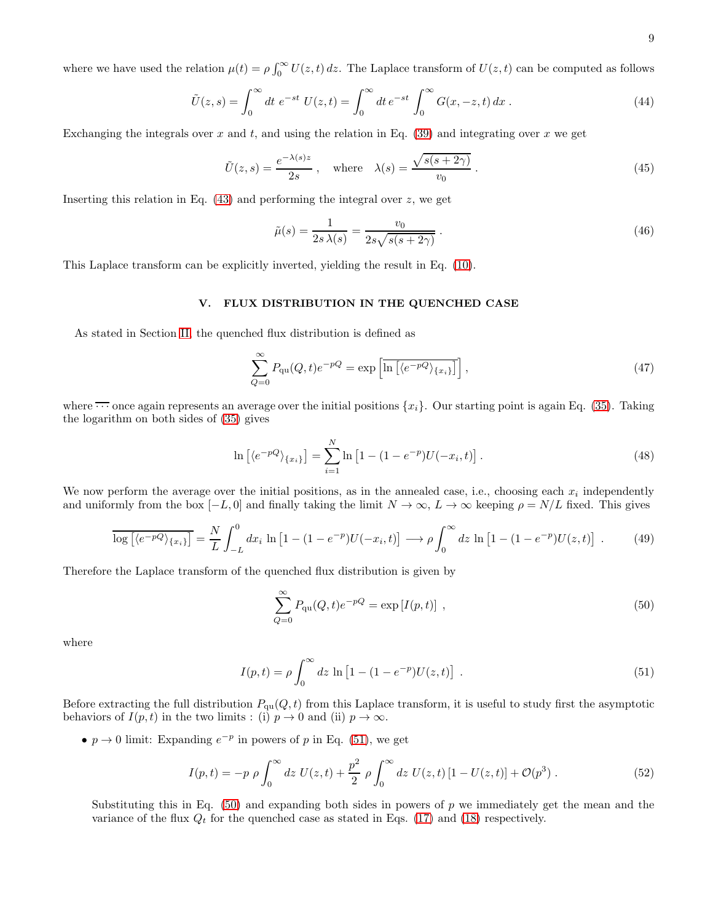where we have used the relation  $\mu(t) = \rho \int_0^\infty U(z, t) dz$ . The Laplace transform of  $U(z, t)$  can be computed as follows

$$
\tilde{U}(z,s) = \int_0^\infty dt \ e^{-st} \ U(z,t) = \int_0^\infty dt \ e^{-st} \int_0^\infty G(x,-z,t) \, dx \ . \tag{44}
$$

Exchanging the integrals over x and t, and using the relation in Eq.  $(39)$  and integrating over x we get

<span id="page-8-3"></span>
$$
\tilde{U}(z,s) = \frac{e^{-\lambda(s)z}}{2s}, \quad \text{where} \quad \lambda(s) = \frac{\sqrt{s(s+2\gamma)}}{v_0} \,. \tag{45}
$$

Inserting this relation in Eq.  $(43)$  and performing the integral over z, we get

$$
\tilde{\mu}(s) = \frac{1}{2s\,\lambda(s)} = \frac{v_0}{2s\sqrt{s(s+2\gamma)}}\,. \tag{46}
$$

This Laplace transform can be explicitly inverted, yielding the result in Eq. [\(10\)](#page-3-1).

## <span id="page-8-0"></span>V. FLUX DISTRIBUTION IN THE QUENCHED CASE

As stated in Section [II,](#page-1-0) the quenched flux distribution is defined as

$$
\sum_{Q=0}^{\infty} P_{\rm qu}(Q, t) e^{-pQ} = \exp\left[\ln\left[\langle e^{-pQ} \rangle_{\{x_i\}}\right]\right],\tag{47}
$$

where  $\overline{\cdots}$  once again represents an average over the initial positions  $\{x_i\}$ . Our starting point is again Eq. [\(35\)](#page-6-5). Taking the logarithm on both sides of [\(35\)](#page-6-5) gives

$$
\ln\left[\langle e^{-pQ}\rangle_{\{x_i\}}\right] = \sum_{i=1}^{N} \ln\left[1 - (1 - e^{-p})U(-x_i, t)\right].\tag{48}
$$

We now perform the average over the initial positions, as in the annealed case, i.e., choosing each  $x_i$  independently and uniformly from the box  $[-L, 0]$  and finally taking the limit  $N \to \infty$ ,  $L \to \infty$  keeping  $\rho = N/L$  fixed. This gives

$$
\overline{\log\left[\langle e^{-pQ}\rangle_{\{x_i\}}\right]} = \frac{N}{L} \int_{-L}^{0} dx_i \ln\left[1 - (1 - e^{-p})U(-x_i, t)\right] \longrightarrow \rho \int_{0}^{\infty} dz \ln\left[1 - (1 - e^{-p})U(z, t)\right]. \tag{49}
$$

Therefore the Laplace transform of the quenched flux distribution is given by

<span id="page-8-2"></span>
$$
\sum_{Q=0}^{\infty} P_{\text{qu}}(Q, t) e^{-pQ} = \exp\left[I(p, t)\right],\tag{50}
$$

where

<span id="page-8-1"></span>
$$
I(p,t) = \rho \int_0^\infty dz \, \ln \left[ 1 - (1 - e^{-p}) U(z,t) \right] \,. \tag{51}
$$

Before extracting the full distribution  $P_{qu}(Q, t)$  from this Laplace transform, it is useful to study first the asymptotic behaviors of  $I(p, t)$  in the two limits : (i)  $p \to 0$  and (ii)  $p \to \infty$ .

•  $p \to 0$  limit: Expanding  $e^{-p}$  in powers of p in Eq. [\(51\)](#page-8-1), we get

<span id="page-8-4"></span>
$$
I(p,t) = -p \rho \int_0^\infty dz \ U(z,t) + \frac{p^2}{2} \rho \int_0^\infty dz \ U(z,t) \left[1 - U(z,t)\right] + \mathcal{O}(p^3) \ . \tag{52}
$$

Substituting this in Eq.  $(50)$  and expanding both sides in powers of p we immediately get the mean and the variance of the flux  $Q_t$  for the quenched case as stated in Eqs. [\(17\)](#page-4-0) and [\(18\)](#page-4-0) respectively.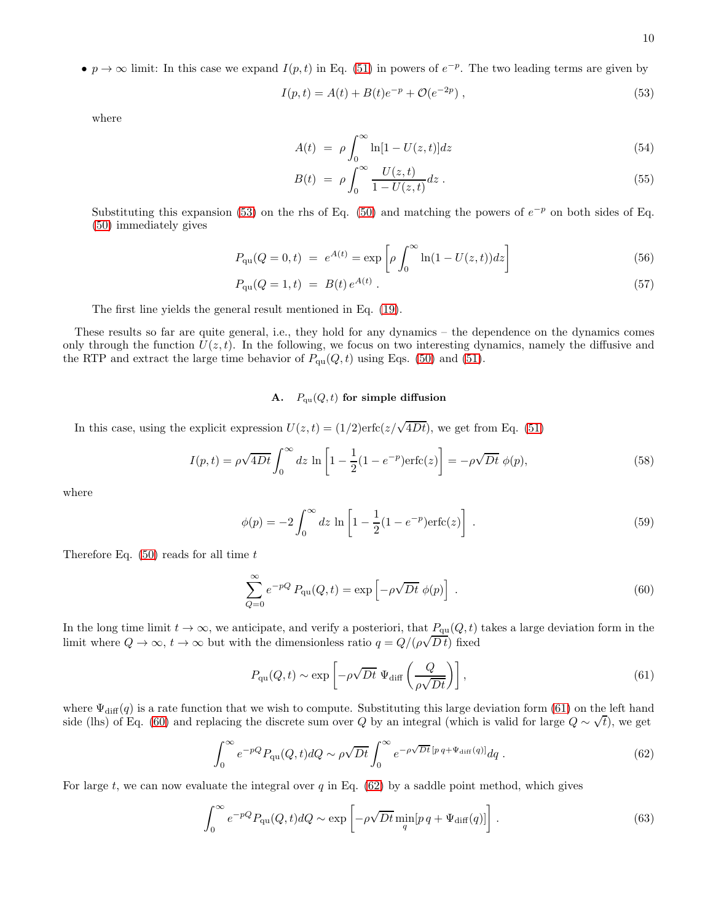•  $p \to \infty$  limit: In this case we expand  $I(p, t)$  in Eq. [\(51\)](#page-8-1) in powers of  $e^{-p}$ . The two leading terms are given by

<span id="page-9-1"></span>
$$
I(p,t) = A(t) + B(t)e^{-p} + \mathcal{O}(e^{-2p}),
$$
\n(53)

where

<span id="page-9-5"></span>
$$
A(t) = \rho \int_0^\infty \ln[1 - U(z, t)] dz \tag{54}
$$

$$
B(t) = \rho \int_0^\infty \frac{U(z, t)}{1 - U(z, t)} dz.
$$
\n(55)

Substituting this expansion [\(53\)](#page-9-1) on the rhs of Eq. [\(50\)](#page-8-2) and matching the powers of  $e^{-p}$  on both sides of Eq. [\(50\)](#page-8-2) immediately gives

<span id="page-9-7"></span>
$$
P_{\rm qu}(Q=0,t) = e^{A(t)} = \exp\left[\rho \int_0^\infty \ln(1 - U(z,t))dz\right]
$$
\n(56)

$$
P_{\rm qu}(Q=1,t) = B(t) e^{A(t)} \,. \tag{57}
$$

The first line yields the general result mentioned in Eq. [\(19\)](#page-4-2).

These results so far are quite general, i.e., they hold for any dynamics – the dependence on the dynamics comes only through the function  $U(z, t)$ . In the following, we focus on two interesting dynamics, namely the diffusive and the RTP and extract the large time behavior of  $P_{qu}(Q, t)$  using Eqs. [\(50\)](#page-8-2) and [\(51\)](#page-8-1).

# A.  $P_{\text{qu}}(Q, t)$  for simple diffusion

In this case, using the explicit expression  $U(z,t) = (1/2) \text{erfc}(z/\sqrt{4Dt})$ , we get from Eq. [\(51\)](#page-8-1)

<span id="page-9-6"></span>
$$
I(p,t) = \rho \sqrt{4Dt} \int_0^\infty dz \, \ln \left[ 1 - \frac{1}{2} (1 - e^{-p}) \text{erfc}(z) \right] = -\rho \sqrt{Dt} \, \phi(p),\tag{58}
$$

where

<span id="page-9-0"></span>
$$
\phi(p) = -2 \int_0^\infty dz \, \ln \left[ 1 - \frac{1}{2} (1 - e^{-p}) \text{erfc}(z) \right] \,. \tag{59}
$$

Therefore Eq.  $(50)$  reads for all time t

<span id="page-9-3"></span>
$$
\sum_{Q=0}^{\infty} e^{-pQ} P_{\text{qu}}(Q, t) = \exp\left[-\rho \sqrt{Dt} \phi(p)\right].
$$
\n(60)

In the long time limit  $t \to \infty$ , we anticipate, and verify a posteriori, that  $P_{qu}(Q, t)$  takes a large deviation form in the limit where  $Q \to \infty$ ,  $t \to \infty$  but with the dimensionless ratio  $q = Q/(\rho \sqrt{Dt})$  fixed

<span id="page-9-2"></span>
$$
P_{\rm qu}(Q,t) \sim \exp\left[-\rho\sqrt{Dt}\ \Psi_{\rm diff}\left(\frac{Q}{\rho\sqrt{Dt}}\right)\right],\tag{61}
$$

where  $\Psi_{\text{diff}}(q)$  is a rate function that we wish to compute. Substituting this large deviation form [\(61\)](#page-9-2) on the left hand side (lhs) of Eq. [\(60\)](#page-9-3) and replacing the discrete sum over Q by an integral (which is valid for large  $Q \sim \sqrt{t}$ ), we get

<span id="page-9-4"></span>
$$
\int_0^\infty e^{-pQ} P_{\text{qu}}(Q, t) dQ \sim \rho \sqrt{Dt} \int_0^\infty e^{-\rho \sqrt{Dt} \left[ p \, q + \Psi_{\text{diff}}(q) \right]} dq \,. \tag{62}
$$

For large t, we can now evaluate the integral over q in Eq.  $(62)$  by a saddle point method, which gives

$$
\int_0^\infty e^{-pQ} P_{\rm qu}(Q, t) dQ \sim \exp\left[-\rho \sqrt{Dt} \min_q[p \, q + \Psi_{\rm diff}(q)]\right].\tag{63}
$$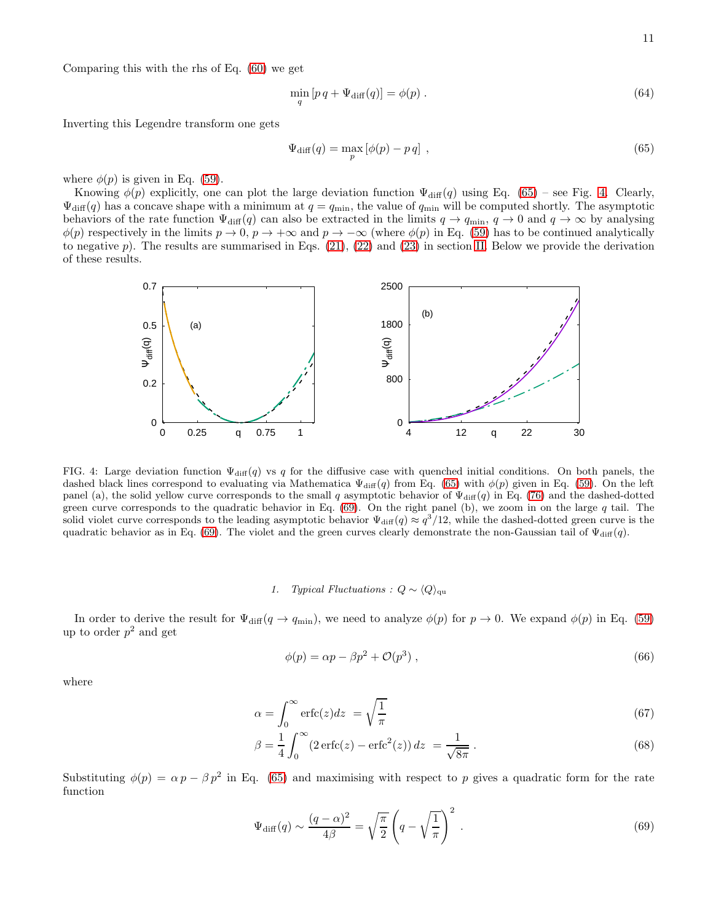Comparing this with the rhs of Eq. [\(60\)](#page-9-3) we get

$$
\min_{q} [pq + \Psi_{\text{diff}}(q)] = \phi(p) \tag{64}
$$

Inverting this Legendre transform one gets

<span id="page-10-0"></span>
$$
\Psi_{\text{diff}}(q) = \max_{p} \left[ \phi(p) - p \, q \right] \,, \tag{65}
$$

where  $\phi(p)$  is given in Eq. [\(59\)](#page-9-0).

Knowing  $\phi(p)$  explicitly, one can plot the large deviation function  $\Psi_{\text{diff}}(q)$  using Eq. [\(65\)](#page-10-0) – see Fig. [4.](#page-10-1) Clearly,  $\Psi_{\text{diff}}(q)$  has a concave shape with a minimum at  $q = q_{\text{min}}$ , the value of  $q_{\text{min}}$  will be computed shortly. The asymptotic behaviors of the rate function  $\Psi_{\text{diff}}(q)$  can also be extracted in the limits  $q \to q_{\text{min}}$ ,  $q \to 0$  and  $q \to \infty$  by analysing  $\phi(p)$  respectively in the limits  $p \to 0$ ,  $p \to +\infty$  and  $p \to -\infty$  (where  $\phi(p)$  in Eq. [\(59\)](#page-9-0) has to be continued analytically to negative p). The results are summarised in Eqs.  $(21)$ ,  $(22)$  and  $(23)$  in section [II.](#page-1-0) Below we provide the derivation of these results.



<span id="page-10-1"></span>FIG. 4: Large deviation function  $\Psi_{\text{diff}}(q)$  vs q for the diffusive case with quenched initial conditions. On both panels, the dashed black lines correspond to evaluating via Mathematica  $\Psi_{\text{diff}}(q)$  from Eq. [\(65\)](#page-10-0) with  $\phi(p)$  given in Eq. [\(59\)](#page-9-0). On the left panel (a), the solid yellow curve corresponds to the small q asymptotic behavior of  $\Psi_{\text{diff}}(q)$  in Eq. [\(76\)](#page-11-0) and the dashed-dotted green curve corresponds to the quadratic behavior in Eq.  $(69)$ . On the right panel (b), we zoom in on the large q tail. The solid violet curve corresponds to the leading asymptotic behavior  $\Psi_{\text{diff}}(q) \approx q^3/12$ , while the dashed-dotted green curve is the quadratic behavior as in Eq. [\(69\)](#page-10-2). The violet and the green curves clearly demonstrate the non-Gaussian tail of  $\Psi_{\text{diff}}(q)$ .

## 1. Typical Fluctuations :  $Q \sim \langle Q \rangle_{\text{qu}}$

In order to derive the result for  $\Psi_{\text{diff}}(q \to q_{\text{min}})$ , we need to analyze  $\phi(p)$  for  $p \to 0$ . We expand  $\phi(p)$  in Eq. [\(59\)](#page-9-0) up to order  $p^2$  and get

$$
\phi(p) = \alpha p - \beta p^2 + \mathcal{O}(p^3) \,,\tag{66}
$$

where

$$
\alpha = \int_0^\infty \text{erfc}(z) dz = \sqrt{\frac{1}{\pi}} \tag{67}
$$

$$
\beta = \frac{1}{4} \int_0^\infty (2 \operatorname{erfc}(z) - \operatorname{erfc}^2(z)) \, dz = \frac{1}{\sqrt{8\pi}} \,. \tag{68}
$$

Substituting  $\phi(p) = \alpha p - \beta p^2$  in Eq. [\(65\)](#page-10-0) and maximising with respect to p gives a quadratic form for the rate function

<span id="page-10-2"></span>
$$
\Psi_{\text{diff}}(q) \sim \frac{(q-\alpha)^2}{4\beta} = \sqrt{\frac{\pi}{2}} \left( q - \sqrt{\frac{1}{\pi}} \right)^2.
$$
\n(69)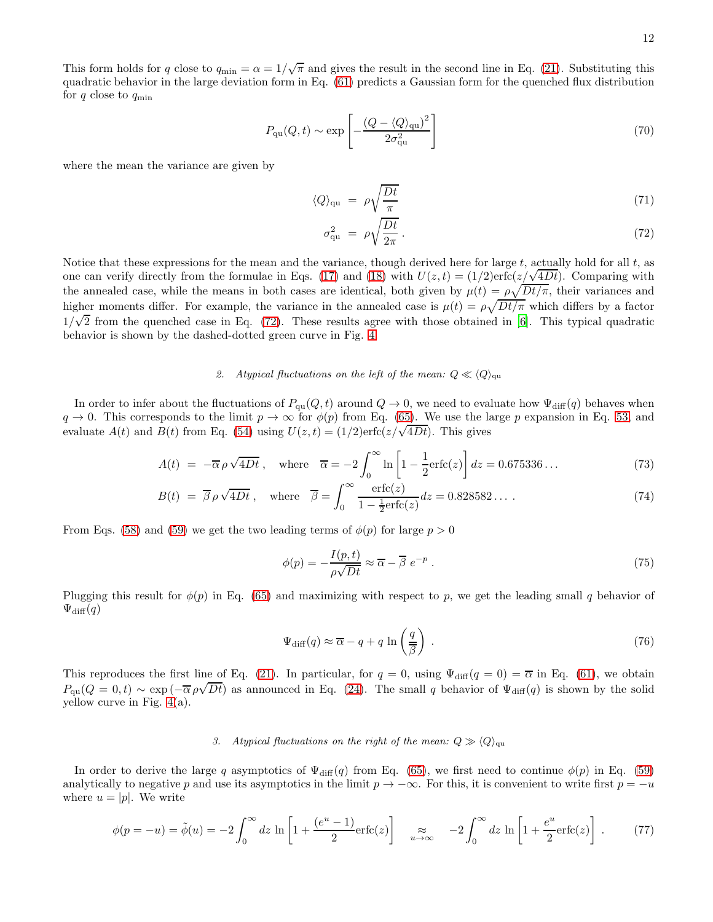This form holds for q close to  $q_{\min} = \alpha = 1/\sqrt{\pi}$  and gives the result in the second line in Eq. [\(21\)](#page-5-1). Substituting this quadratic behavior in the large deviation form in Eq. [\(61\)](#page-9-2) predicts a Gaussian form for the quenched flux distribution for  $q$  close to  $q_{\min}$ 

$$
P_{\rm qu}(Q,t) \sim \exp\left[-\frac{(Q - \langle Q \rangle_{\rm qu})^2}{2\sigma_{\rm qu}^2}\right]
$$
\n(70)

where the mean the variance are given by

<span id="page-11-1"></span>
$$
\langle Q \rangle_{\rm qu} = \rho \sqrt{\frac{Dt}{\pi}} \tag{71}
$$

$$
\sigma_{\rm qu}^2 = \rho \sqrt{\frac{Dt}{2\pi}} \,. \tag{72}
$$

Notice that these expressions for the mean and the variance, though derived here for large  $t$ , actually hold for all  $t$ , as one can verify directly from the formulae in Eqs. [\(17\)](#page-4-0) and [\(18\)](#page-4-0) with  $U(z,t) = (1/2) \text{erfc}(z/\sqrt{4Dt})$ . Comparing with the annealed case, while the means in both cases are identical, both given by  $\mu(t) = \rho \sqrt{Dt/\pi}$ , their variances and higher moments differ. For example, the variance in the annealed case is  $\mu(t) = \rho \sqrt{Dt/\pi}$  which differs by a factor  $1/\sqrt{2}$  from the quenched case in Eq. [\(72\)](#page-11-1). These results agree with those obtained in [\[6\]](#page-20-3). This typical quadratic behavior is shown by the dashed-dotted green curve in Fig. [4.](#page-10-1)

## 2. Atypical fluctuations on the left of the mean:  $Q \ll \langle Q \rangle_{\text{qu}}$

In order to infer about the fluctuations of  $P_{qu}(Q, t)$  around  $Q \to 0$ , we need to evaluate how  $\Psi_{diff}(q)$  behaves when  $q \to 0$ . This corresponds to the limit  $p \to \infty$  for  $\phi(p)$  from Eq. [\(65\)](#page-10-0). We use the large p expansion in Eq. [53,](#page-9-1) and evaluate  $A(t)$  and  $B(t)$  from Eq. [\(54\)](#page-9-5) using  $U(z,t) = (1/2) \text{erfc}(z/\sqrt{4Dt})$ . This gives

$$
A(t) = -\overline{\alpha}\rho\sqrt{4Dt}, \quad \text{where} \quad \overline{\alpha} = -2\int_0^\infty \ln\left[1 - \frac{1}{2}\text{erfc}(z)\right]dz = 0.675336\ldots \tag{73}
$$

$$
B(t) = \overline{\beta}\,\rho\sqrt{4Dt} \,, \quad \text{where} \quad \overline{\beta} = \int_0^\infty \frac{\text{erfc}(z)}{1 - \frac{1}{2}\text{erfc}(z)} dz = 0.828582\ldots \,. \tag{74}
$$

From Eqs. [\(58\)](#page-9-6) and [\(59\)](#page-9-0) we get the two leading terms of  $\phi(p)$  for large  $p > 0$ 

$$
\phi(p) = -\frac{I(p,t)}{\rho\sqrt{Dt}} \approx \overline{\alpha} - \overline{\beta} e^{-p} . \tag{75}
$$

Plugging this result for  $\phi(p)$  in Eq. [\(65\)](#page-10-0) and maximizing with respect to p, we get the leading small q behavior of  $\Psi_{\text{diff}}(q)$ 

<span id="page-11-0"></span>
$$
\Psi_{\text{diff}}(q) \approx \overline{\alpha} - q + q \ln\left(\frac{q}{\beta}\right) \,. \tag{76}
$$

This reproduces the first line of Eq. [\(21\)](#page-5-1). In particular, for  $q = 0$ , using  $\Psi_{\text{diff}}(q = 0) = \overline{\alpha}$  in Eq. [\(61\)](#page-9-2), we obtain  $P_{\text{qu}}(Q=0,t) \sim \exp\left(-\overline{\alpha}\rho\sqrt{Dt}\right)$  as announced in Eq. [\(24\)](#page-5-3). The small q behavior of  $\Psi_{\text{diff}}(q)$  is shown by the solid yellow curve in Fig. [4\(](#page-10-1)a).

## 3. Atypical fluctuations on the right of the mean:  $Q \gg \langle Q \rangle_{\text{qu}}$

In order to derive the large q asymptotics of  $\Psi_{\text{diff}}(q)$  from Eq. [\(65\)](#page-10-0), we first need to continue  $\phi(p)$  in Eq. [\(59\)](#page-9-0) analytically to negative p and use its asymptotics in the limit  $p \to -\infty$ . For this, it is convenient to write first  $p = -u$ where  $u = |p|$ . We write

$$
\phi(p=-u) = \tilde{\phi}(u) = -2\int_0^\infty dz \, \ln\left[1 + \frac{(e^u - 1)}{2}\text{erfc}(z)\right] \quad \underset{u \to \infty}{\approx} \quad -2\int_0^\infty dz \, \ln\left[1 + \frac{e^u}{2}\text{erfc}(z)\right] \,. \tag{77}
$$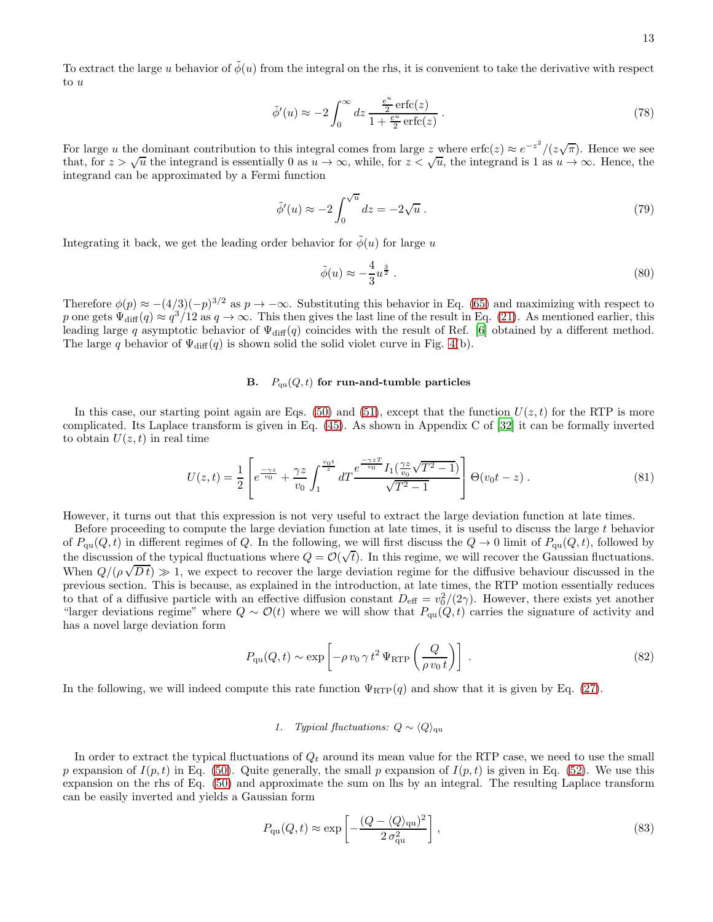To extract the large u behavior of  $\phi(u)$  from the integral on the rhs, it is convenient to take the derivative with respect to u

$$
\tilde{\phi}'(u) \approx -2 \int_0^\infty dz \, \frac{\frac{e^u}{2} \operatorname{erfc}(z)}{1 + \frac{e^u}{2} \operatorname{erfc}(z)} \,. \tag{78}
$$

For large u the dominant contribution to this integral comes from large z where erfc(z)  $\approx e^{-z^2}/(z\sqrt{\pi})$ . Hence we see that, for  $z > \sqrt{u}$  the integrand is essentially 0 as  $u \to \infty$ , while, for  $z < \sqrt{u}$ , the integrand is 1 as  $u \to \infty$ . Hence, the integrand can be approximated by a Fermi function

$$
\tilde{\phi}'(u) \approx -2 \int_0^{\sqrt{u}} dz = -2\sqrt{u} . \tag{79}
$$

Integrating it back, we get the leading order behavior for  $\tilde{\phi}(u)$  for large u

$$
\tilde{\phi}(u) \approx -\frac{4}{3}u^{\frac{3}{2}}.
$$
\n(80)

Therefore  $\phi(p) \approx -(4/3)(-p)^{3/2}$  as  $p \rightarrow -\infty$ . Substituting this behavior in Eq. [\(65\)](#page-10-0) and maximizing with respect to p one gets  $\Psi_{\text{diff}}(q) \approx q^3/12$  as  $q \to \infty$ . This then gives the last line of the result in Eq. [\(21\)](#page-5-1). As mentioned earlier, this leading large q asymptotic behavior of  $\Psi_{diff}(q)$  coincides with the result of Ref. [\[6](#page-20-3)] obtained by a different method. The large q behavior of  $\Psi_{\text{diff}}(q)$  is shown solid the solid violet curve in Fig. [4\(](#page-10-1)b).

# B.  $P_{\text{qu}}(Q, t)$  for run-and-tumble particles

In this case, our starting point again are Eqs. [\(50\)](#page-8-2) and [\(51\)](#page-8-1), except that the function  $U(z, t)$  for the RTP is more complicated. Its Laplace transform is given in Eq. [\(45\)](#page-8-3). As shown in Appendix C of [\[32\]](#page-20-18) it can be formally inverted to obtain  $U(z, t)$  in real time

<span id="page-12-0"></span>
$$
U(z,t) = \frac{1}{2} \left[ e^{\frac{-\gamma z}{v_0}} + \frac{\gamma z}{v_0} \int_1^{\frac{v_0 t}{z}} dT \frac{e^{\frac{-\gamma z T}{v_0}} I_1(\frac{\gamma z}{v_0} \sqrt{T^2 - 1})}{\sqrt{T^2 - 1}} \right] \Theta(v_0 t - z) . \tag{81}
$$

However, it turns out that this expression is not very useful to extract the large deviation function at late times.

Before proceeding to compute the large deviation function at late times, it is useful to discuss the large t behavior of  $P_{\text{qu}}(Q, t)$  in different regimes of Q. In the following, we will first discuss the  $Q \to 0$  limit of  $P_{\text{qu}}(Q, t)$ , followed by the discussion of the typical fluctuations where  $Q = \mathcal{O}(\sqrt{t})$ . In this regime, we will recover the Gaussian fluctuations. When  $Q/(\rho\sqrt{Dt}) \gg 1$ , we expect to recover the large deviation regime for the diffusive behaviour discussed in the previous section. This is because, as explained in the introduction, at late times, the RTP motion essentially reduces to that of a diffusive particle with an effective diffusion constant  $D_{\text{eff}} = v_0^2/(2\gamma)$ . However, there exists yet another "larger deviations regime" where  $Q \sim \mathcal{O}(t)$  where we will show that  $P_{qu}(Q, t)$  carries the signature of activity and has a novel large deviation form

<span id="page-12-1"></span>
$$
P_{\rm qu}(Q,t) \sim \exp\left[-\rho v_0 \gamma t^2 \Psi_{\rm RTP}\left(\frac{Q}{\rho v_0 t}\right)\right] \,. \tag{82}
$$

In the following, we will indeed compute this rate function  $\Psi_{\text{RTP}}(q)$  and show that it is given by Eq. [\(27\)](#page-5-4).

## 1. Typical fluctuations:  $Q \sim \langle Q \rangle_{\text{qu}}$

In order to extract the typical fluctuations of  $Q_t$  around its mean value for the RTP case, we need to use the small p expansion of  $I(p, t)$  in Eq. [\(50\)](#page-8-2). Quite generally, the small p expansion of  $I(p, t)$  is given in Eq. [\(52\)](#page-8-4). We use this expansion on the rhs of Eq. [\(50\)](#page-8-2) and approximate the sum on lhs by an integral. The resulting Laplace transform can be easily inverted and yields a Gaussian form

$$
P_{\rm qu}(Q,t) \approx \exp\left[-\frac{(Q - \langle Q \rangle_{\rm qu})^2}{2\,\sigma_{\rm qu}^2}\right],\tag{83}
$$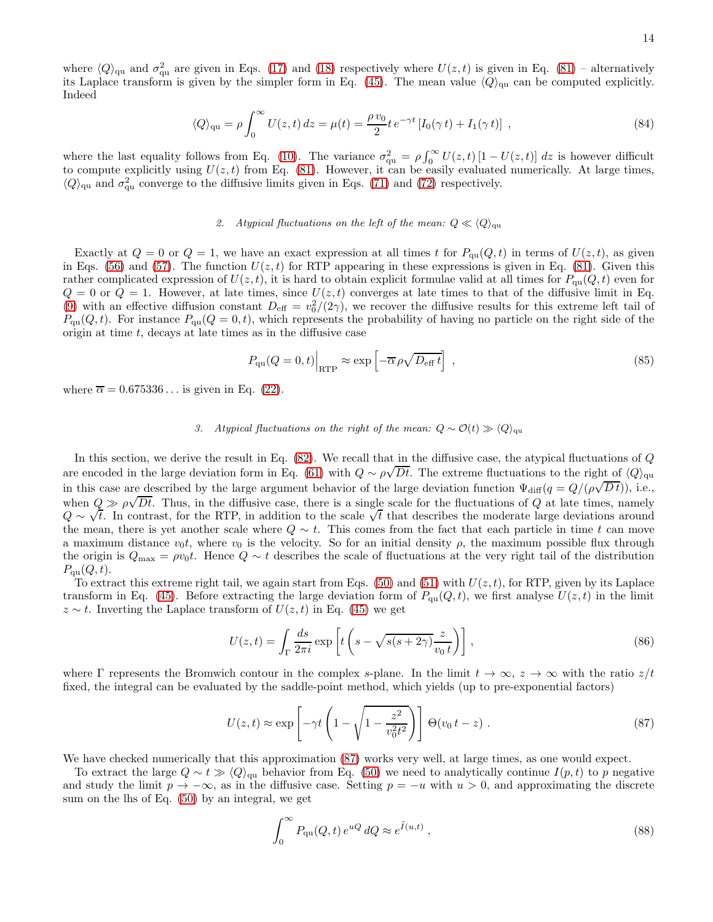$$
\langle Q \rangle_{\text{qu}} = \rho \int_0^\infty U(z, t) dz = \mu(t) = \frac{\rho v_0}{2} t e^{-\gamma t} \left[ I_0(\gamma t) + I_1(\gamma t) \right] , \qquad (84)
$$

where the last equality follows from Eq. [\(10\)](#page-3-1). The variance  $\sigma_{\text{qu}}^2 = \rho \int_0^\infty U(z,t) [1-U(z,t)] dz$  is however difficult to compute explicitly using  $U(z, t)$  from Eq. [\(81\)](#page-12-0). However, it can be easily evaluated numerically. At large times,  $\langle Q \rangle_{\text{qu}}$  and  $\sigma_{\text{qu}}^2$  converge to the diffusive limits given in Eqs. [\(71\)](#page-11-1) and [\(72\)](#page-11-1) respectively.

### 2. Atypical fluctuations on the left of the mean:  $Q \ll \langle Q \rangle_{\text{qu}}$

Exactly at  $Q = 0$  or  $Q = 1$ , we have an exact expression at all times t for  $P_{qu}(Q, t)$  in terms of  $U(z, t)$ , as given in Eqs. [\(56\)](#page-9-7) and [\(57\)](#page-9-7). The function  $U(z, t)$  for RTP appearing in these expressions is given in Eq. [\(81\)](#page-12-0). Given this rather complicated expression of  $U(z, t)$ , it is hard to obtain explicit formulae valid at all times for  $P_{qu}(Q, t)$  even for  $Q = 0$  or  $Q = 1$ . However, at late times, since  $U(z, t)$  converges at late times to that of the diffusive limit in Eq. [\(9\)](#page-3-4) with an effective diffusion constant  $D_{\text{eff}} = v_0^2/(2\gamma)$ , we recover the diffusive results for this extreme left tail of  $P_{qu}(Q, t)$ . For instance  $P_{qu}(Q = 0, t)$ , which represents the probability of having no particle on the right side of the origin at time  $t$ , decays at late times as in the diffusive case

$$
P_{\rm qu}(Q=0,t)\Big|_{\rm RTP} \approx \exp\left[-\overline{\alpha}\,\rho\sqrt{D_{\rm eff}\,t}\right] \,,\tag{85}
$$

where  $\overline{\alpha} = 0.675336...$  is given in Eq. [\(22\)](#page-5-2).

## 3. Atypical fluctuations on the right of the mean:  $Q \sim \mathcal{O}(t) \gg \langle Q \rangle_{\text{qu}}$

In this section, we derive the result in Eq. [\(82\)](#page-12-1). We recall that in the diffusive case, the atypical fluctuations of Q are encoded in the large deviation form in Eq. [\(61\)](#page-9-2) with  $Q \sim \rho \sqrt{Dt}$ . The extreme fluctuations to the right of  $\langle Q \rangle_{\text{qu}}$ in this case are described by the large argument behavior of the large deviation function  $\Psi_{\text{diff}}(q = Q/(\rho\sqrt{Dt}))$ , i.e., when  $Q \gg \rho \sqrt{Dt}$ . Thus, in the diffusive case, there is a single scale for the fluctuations of Q at late times, namely  $Q \sim \sqrt{t}$ . In contrast, for the RTP, in addition to the scale  $\sqrt{t}$  that describes the moderate large deviations around  $Q \sim \sqrt{t}$ . the mean, there is yet another scale where  $Q \sim t$ . This comes from the fact that each particle in time t can move a maximum distance  $v_0t$ , where  $v_0$  is the velocity. So for an initial density  $\rho$ , the maximum possible flux through the origin is  $Q_{\text{max}} = \rho v_0 t$ . Hence  $Q \sim t$  describes the scale of fluctuations at the very right tail of the distribution  $P_{\text{qu}}(Q, t).$ 

To extract this extreme right tail, we again start from Eqs. [\(50\)](#page-8-2) and [\(51\)](#page-8-1) with  $U(z, t)$ , for RTP, given by its Laplace transform in Eq. [\(45\)](#page-8-3). Before extracting the large deviation form of  $P_{qu}(Q, t)$ , we first analyse  $U(z, t)$  in the limit  $z \sim t$ . Inverting the Laplace transform of  $U(z, t)$  in Eq. [\(45\)](#page-8-3) we get

$$
U(z,t) = \int_{\Gamma} \frac{ds}{2\pi i} \exp\left[t\left(s - \sqrt{s(s+2\gamma)}\frac{z}{v_0 t}\right)\right],\tag{86}
$$

where  $\Gamma$  represents the Bromwich contour in the complex s-plane. In the limit  $t \to \infty$ ,  $z \to \infty$  with the ratio  $z/t$ fixed, the integral can be evaluated by the saddle-point method, which yields (up to pre-exponential factors)

<span id="page-13-0"></span>
$$
U(z,t) \approx \exp\left[-\gamma t \left(1 - \sqrt{1 - \frac{z^2}{v_0^2 t^2}}\right)\right] \Theta(v_0 t - z) . \tag{87}
$$

We have checked numerically that this approximation [\(87\)](#page-13-0) works very well, at large times, as one would expect.

To extract the large  $Q \sim t \gg \langle Q \rangle_{\text{qu}}$  behavior from Eq. [\(50\)](#page-8-2) we need to analytically continue  $I(p, t)$  to p negative and study the limit  $p \to -\infty$ , as in the diffusive case. Setting  $p = -u$  with  $u > 0$ , and approximating the discrete sum on the lhs of Eq. [\(50\)](#page-8-2) by an integral, we get

<span id="page-13-1"></span>
$$
\int_0^\infty P_{\rm qu}(Q,t) \, e^{uQ} \, dQ \approx e^{\tilde{I}(u,t)} \,, \tag{88}
$$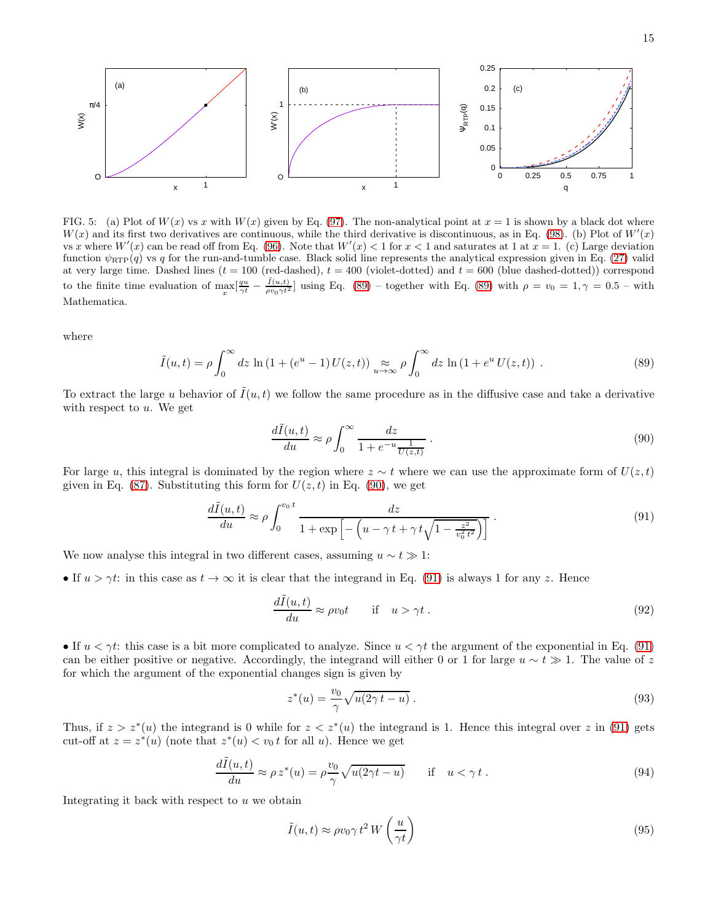

<span id="page-14-3"></span>FIG. 5: (a) Plot of  $W(x)$  vs x with  $W(x)$  given by Eq. [\(97\)](#page-15-0). The non-analytical point at  $x = 1$  is shown by a black dot where  $W(x)$  and its first two derivatives are continuous, while the third derivative is discontinuous, as in Eq. [\(98\)](#page-15-1). (b) Plot of  $W'(x)$ vs x where  $W'(x)$  can be read off from Eq. [\(96\)](#page-15-2). Note that  $W'(x) < 1$  for  $x < 1$  and saturates at 1 at  $x = 1$ . (c) Large deviation function  $\psi_{\text{RTP}}(q)$  vs q for the run-and-tumble case. Black solid line represents the analytical expression given in Eq. [\(27\)](#page-5-4) valid at very large time. Dashed lines ( $t = 100$  (red-dashed),  $t = 400$  (violet-dotted) and  $t = 600$  (blue dashed-dotted)) correspond to the finite time evaluation of  $\max_x \left[ \frac{q_u}{\gamma t} - \frac{\tilde{I}(u,t)}{\rho v_0 \gamma t^2} \right]$  using Eq. [\(89\)](#page-14-0) – together with Eq. (89) with  $\rho = v_0 = 1, \gamma = 0.5$  – with Mathematica.

where

<span id="page-14-0"></span>
$$
\tilde{I}(u,t) = \rho \int_0^\infty dz \, \ln\left(1 + (e^u - 1)U(z,t)\right) \underset{u \to \infty}{\approx} \rho \int_0^\infty dz \, \ln\left(1 + e^u U(z,t)\right) \,. \tag{89}
$$

To extract the large u behavior of  $\tilde{I}(u, t)$  we follow the same procedure as in the diffusive case and take a derivative with respect to  $u$ . We get

<span id="page-14-1"></span>
$$
\frac{d\tilde{I}(u,t)}{du} \approx \rho \int_0^\infty \frac{dz}{1 + e^{-u} \frac{1}{U(z,t)}}.
$$
\n(90)

For large u, this integral is dominated by the region where  $z \sim t$  where we can use the approximate form of  $U(z, t)$ given in Eq. [\(87\)](#page-13-0). Substituting this form for  $U(z, t)$  in Eq. [\(90\)](#page-14-1), we get

<span id="page-14-2"></span>
$$
\frac{d\tilde{I}(u,t)}{du} \approx \rho \int_0^{v_0 t} \frac{dz}{1 + \exp\left[-\left(u - \gamma t + \gamma t \sqrt{1 - \frac{z^2}{v_0^2 t^2}}\right)\right]} \,. \tag{91}
$$

We now analyse this integral in two different cases, assuming  $u \sim t \gg 1$ :

• If  $u > \gamma t$ : in this case as  $t \to \infty$  it is clear that the integrand in Eq. [\(91\)](#page-14-2) is always 1 for any z. Hence

$$
\frac{d\tilde{I}(u,t)}{du} \approx \rho v_0 t \quad \text{if} \quad u > \gamma t \,. \tag{92}
$$

• If  $u < \gamma t$ : this case is a bit more complicated to analyze. Since  $u < \gamma t$  the argument of the exponential in Eq. [\(91\)](#page-14-2) can be either positive or negative. Accordingly, the integrand will either 0 or 1 for large  $u \sim t \gg 1$ . The value of z for which the argument of the exponential changes sign is given by

$$
z^*(u) = \frac{v_0}{\gamma} \sqrt{u(2\gamma t - u)}.
$$
\n(93)

Thus, if  $z > z^*(u)$  the integrand is 0 while for  $z < z^*(u)$  the integrand is 1. Hence this integral over z in [\(91\)](#page-14-2) gets cut-off at  $z = z^*(u)$  (note that  $z^*(u) < v_0 t$  for all u). Hence we get

$$
\frac{d\tilde{I}(u,t)}{du} \approx \rho z^*(u) = \rho \frac{v_0}{\gamma} \sqrt{u(2\gamma t - u)} \quad \text{if} \quad u < \gamma t. \tag{94}
$$

Integrating it back with respect to  $u$  we obtain

<span id="page-14-4"></span>
$$
\tilde{I}(u,t) \approx \rho v_0 \gamma t^2 W\left(\frac{u}{\gamma t}\right) \tag{95}
$$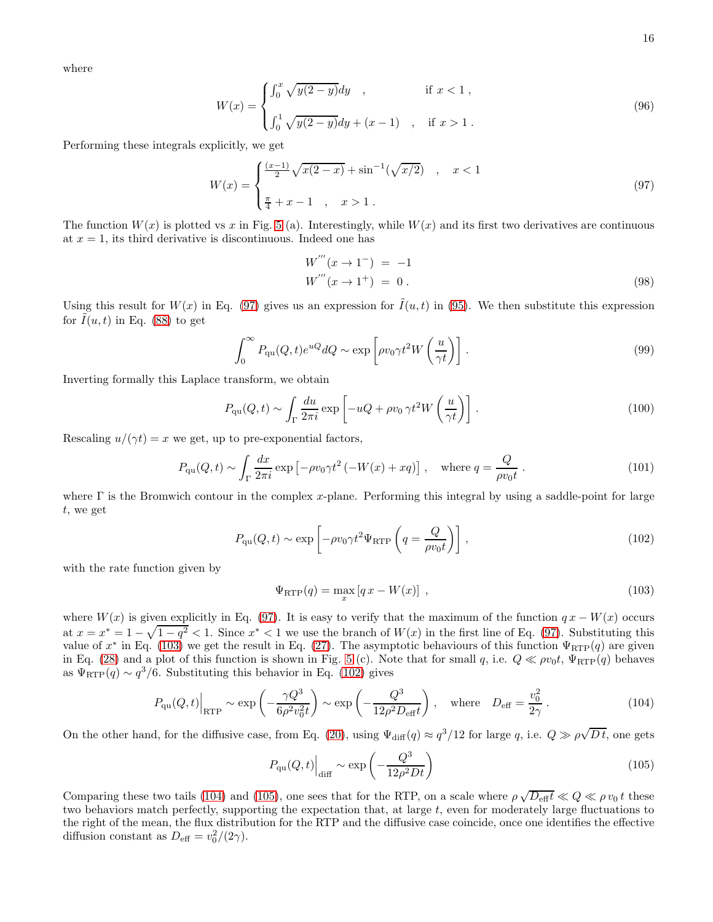where

<span id="page-15-2"></span>
$$
W(x) = \begin{cases} \int_0^x \sqrt{y(2-y)} dy, & \text{if } x < 1, \\ \int_0^1 \sqrt{y(2-y)} dy + (x-1) , & \text{if } x > 1. \end{cases}
$$
 (96)

Performing these integrals explicitly, we get

<span id="page-15-0"></span>
$$
W(x) = \begin{cases} \frac{(x-1)}{2} \sqrt{x(2-x)} + \sin^{-1}(\sqrt{x/2}) & , x < 1\\ \frac{\pi}{4} + x - 1 & , x > 1 \end{cases}
$$
 (97)

The function  $W(x)$  is plotted vs x in Fig. [5](#page-14-3) (a). Interestingly, while  $W(x)$  and its first two derivatives are continuous at  $x = 1$ , its third derivative is discontinuous. Indeed one has

<span id="page-15-1"></span>
$$
W'''(x \to 1^-) = -1
$$
  
\n
$$
W'''(x \to 1^+) = 0.
$$
\n(98)

Using this result for  $W(x)$  in Eq. [\(97\)](#page-15-0) gives us an expression for  $\tilde{I}(u, t)$  in [\(95\)](#page-14-4). We then substitute this expression for  $I(u, t)$  in Eq. [\(88\)](#page-13-1) to get

$$
\int_0^\infty P_{\rm qu}(Q, t) e^{uQ} dQ \sim \exp\left[\rho v_0 \gamma t^2 W\left(\frac{u}{\gamma t}\right)\right].\tag{99}
$$

Inverting formally this Laplace transform, we obtain

$$
P_{\rm qu}(Q,t) \sim \int_{\Gamma} \frac{du}{2\pi i} \exp\left[-uQ + \rho v_0 \gamma t^2 W\left(\frac{u}{\gamma t}\right)\right]. \tag{100}
$$

Rescaling  $u/(\gamma t) = x$  we get, up to pre-exponential factors,

$$
P_{\rm qu}(Q,t) \sim \int_{\Gamma} \frac{dx}{2\pi i} \exp\left[-\rho v_0 \gamma t^2 \left(-W(x) + xq\right)\right], \quad \text{where } q = \frac{Q}{\rho v_0 t} \,. \tag{101}
$$

where  $\Gamma$  is the Bromwich contour in the complex x-plane. Performing this integral by using a saddle-point for large t, we get

<span id="page-15-4"></span>
$$
P_{\rm qu}(Q,t) \sim \exp\left[-\rho v_0 \gamma t^2 \Psi_{\rm RTP}\left(q = \frac{Q}{\rho v_0 t}\right)\right],\tag{102}
$$

with the rate function given by

<span id="page-15-3"></span>
$$
\Psi_{\rm RTP}(q) = \max_x \left[ q \, x - W(x) \right] \,, \tag{103}
$$

where  $W(x)$  is given explicitly in Eq. [\(97\)](#page-15-0). It is easy to verify that the maximum of the function  $qx - W(x)$  occurs at  $x = x^* = 1 - \sqrt{1 - q^2} < 1$ . Since  $x^* < 1$  we use the branch of  $W(x)$  in the first line of Eq. [\(97\)](#page-15-0). Substituting this value of  $x^*$  in Eq. [\(103\)](#page-15-3) we get the result in Eq. [\(27\)](#page-5-4). The asymptotic behaviours of this function  $\Psi_{\rm RTP}(q)$  are given in Eq. [\(28\)](#page-5-5) and a plot of this function is shown in Fig. [5](#page-14-3) (c). Note that for small q, i.e.  $Q \ll \rho v_0 t$ ,  $\Psi_{\rm RTP}(q)$  behaves as  $\Psi_{\text{RTP}}(q) \sim q^3/6$ . Substituting this behavior in Eq. [\(102\)](#page-15-4) gives

<span id="page-15-5"></span>
$$
P_{\rm qu}(Q,t)\Big|_{\rm RTP} \sim \exp\left(-\frac{\gamma Q^3}{6\rho^2 v_0^2 t}\right) \sim \exp\left(-\frac{Q^3}{12\rho^2 D_{\rm eff} t}\right), \quad \text{where} \quad D_{\rm eff} = \frac{v_0^2}{2\gamma} \,. \tag{104}
$$

On the other hand, for the diffusive case, from Eq. [\(20\)](#page-5-0), using  $\Psi_{\text{diff}}(q) \approx q^3/12$  for large q, i.e.  $Q \gg \rho \sqrt{Dt}$ , one gets

<span id="page-15-6"></span>
$$
P_{\rm qu}(Q,t)\Big|_{\rm diff} \sim \exp\left(-\frac{Q^3}{12\rho^2 Dt}\right) \tag{105}
$$

Comparing these two tails [\(104\)](#page-15-5) and [\(105\)](#page-15-6), one sees that for the RTP, on a scale where  $\rho \sqrt{D_{\text{eff}}} t \ll Q \ll \rho v_0 t$  these two behaviors match perfectly, supporting the expectation that, at large  $t$ , even for moderately large fluctuations to the right of the mean, the flux distribution for the RTP and the diffusive case coincide, once one identifies the effective diffusion constant as  $D_{\text{eff}} = v_0^2/(2\gamma)$ .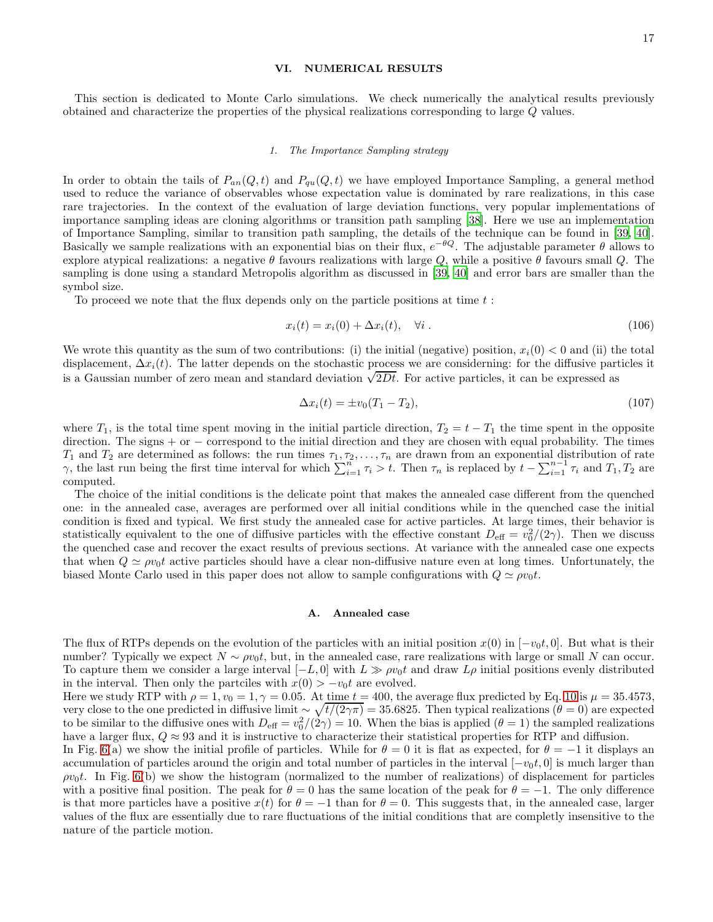### <span id="page-16-0"></span>VI. NUMERICAL RESULTS

This section is dedicated to Monte Carlo simulations. We check numerically the analytical results previously obtained and characterize the properties of the physical realizations corresponding to large Q values.

#### 1. The Importance Sampling strategy

In order to obtain the tails of  $P_{an}(Q, t)$  and  $P_{qu}(Q, t)$  we have employed Importance Sampling, a general method used to reduce the variance of observables whose expectation value is dominated by rare realizations, in this case rare trajectories. In the context of the evaluation of large deviation functions, very popular implementations of importance sampling ideas are cloning algorithms or transition path sampling [\[38\]](#page-21-0). Here we use an implementation of Importance Sampling, similar to transition path sampling, the details of the technique can be found in [\[39,](#page-21-1) [40\]](#page-21-2). Basically we sample realizations with an exponential bias on their flux,  $e^{-\theta Q}$ . The adjustable parameter  $\theta$  allows to explore atypical realizations: a negative  $\theta$  favours realizations with large Q, while a positive  $\theta$  favours small Q. The sampling is done using a standard Metropolis algorithm as discussed in [\[39](#page-21-1), [40\]](#page-21-2) and error bars are smaller than the symbol size.

To proceed we note that the flux depends only on the particle positions at time  $t$ :

$$
x_i(t) = x_i(0) + \Delta x_i(t), \quad \forall i.
$$
\n
$$
(106)
$$

We wrote this quantity as the sum of two contributions: (i) the initial (negative) position,  $x_i(0) < 0$  and (ii) the total displacement,  $\Delta x_i(t)$ . The latter depends on the stochastic process we are considerning: for the diffusive particles it is a Gaussian number of zero mean and standard deviation  $\sqrt{2Dt}$ . For active particles, it can be expressed as

$$
\Delta x_i(t) = \pm v_0 (T_1 - T_2), \tag{107}
$$

where  $T_1$ , is the total time spent moving in the initial particle direction,  $T_2 = t - T_1$  the time spent in the opposite direction. The signs + or − correspond to the initial direction and they are chosen with equal probability. The times  $T_1$  and  $T_2$  are determined as follows: the run times  $\tau_1, \tau_2, \ldots, \tau_n$  are drawn from an exponential distribution of rate γ, the last run being the first time interval for which  $\sum_{i=1}^{n} \tau_i > t$ . Then  $\tau_n$  is replaced by  $t - \sum_{i=1}^{n-1} \tau_i$  and  $T_1, T_2$  are computed.

The choice of the initial conditions is the delicate point that makes the annealed case different from the quenched one: in the annealed case, averages are performed over all initial conditions while in the quenched case the initial condition is fixed and typical. We first study the annealed case for active particles. At large times, their behavior is statistically equivalent to the one of diffusive particles with the effective constant  $D_{\text{eff}} = v_0^2/(2\gamma)$ . Then we discuss the quenched case and recover the exact results of previous sections. At variance with the annealed case one expects that when  $Q \simeq \rho v_0 t$  active particles should have a clear non-diffusive nature even at long times. Unfortunately, the biased Monte Carlo used in this paper does not allow to sample configurations with  $Q \simeq \rho v_0 t$ .

### A. Annealed case

The flux of RTPs depends on the evolution of the particles with an initial position  $x(0)$  in  $[-v_0t, 0]$ . But what is their number? Typically we expect  $N \sim \rho v_0 t$ , but, in the annealed case, rare realizations with large or small N can occur. To capture them we consider a large interval  $[-L, 0]$  with  $L \gg \rho v_0 t$  and draw  $L\rho$  initial positions evenly distributed in the interval. Then only the partciles with  $x(0) > -v_0t$  are evolved.

Here we study RTP with  $\rho = 1, v_0 = 1, \gamma = 0.05$ . At time  $t = 400$ , the average flux predicted by Eq. [10](#page-3-1) is  $\mu = 35.4573$ , very close to the one predicted in diffusive limit  $\sim \sqrt{t/(2\gamma\pi)} = 35.6825$ . Then typical realizations ( $\theta = 0$ ) are expected to be similar to the diffusive ones with  $D_{\text{eff}} = v_0^2/(2\gamma) = 10$ . When the bias is applied  $(\theta = 1)$  the sampled realizations have a larger flux,  $Q \approx 93$  and it is instructive to characterize their statistical properties for RTP and diffusion.

In Fig. [6\(](#page-17-1)a) we show the initial profile of particles. While for  $\theta = 0$  it is flat as expected, for  $\theta = -1$  it displays an accumulation of particles around the origin and total number of particles in the interval  $[-v_0t, 0]$  is much larger than  $\rho v_0 t$ . In Fig. [6\(](#page-17-1)b) we show the histogram (normalized to the number of realizations) of displacement for particles with a positive final position. The peak for  $\theta = 0$  has the same location of the peak for  $\theta = -1$ . The only difference is that more particles have a positive  $x(t)$  for  $\theta = -1$  than for  $\theta = 0$ . This suggests that, in the annealed case, larger values of the flux are essentially due to rare fluctuations of the initial conditions that are completly insensitive to the nature of the particle motion.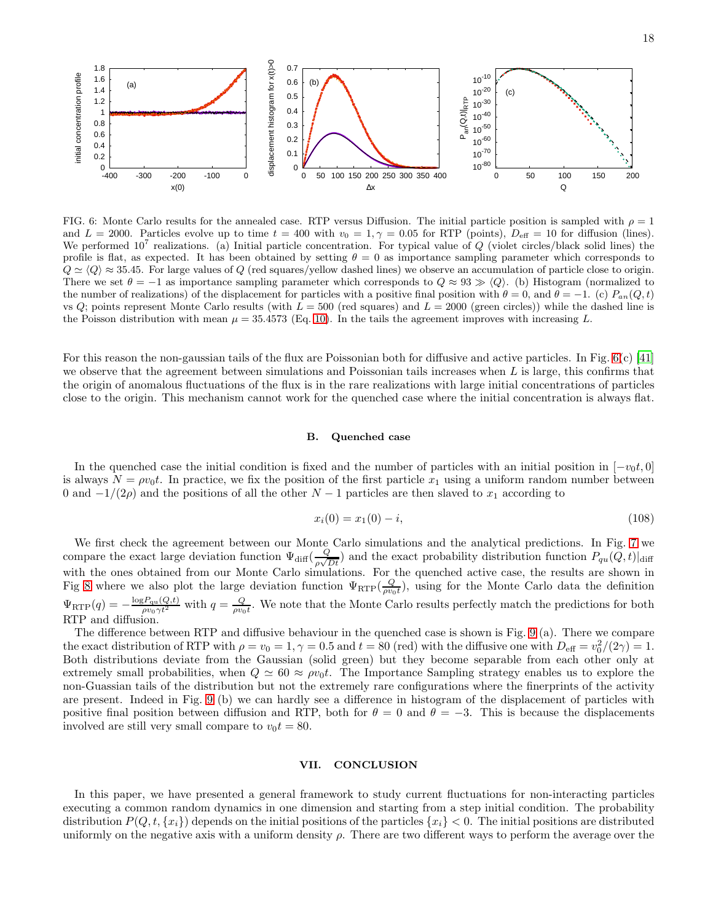

<span id="page-17-1"></span>FIG. 6: Monte Carlo results for the annealed case. RTP versus Diffusion. The initial particle position is sampled with  $\rho = 1$ and  $L = 2000$ . Particles evolve up to time  $t = 400$  with  $v_0 = 1, \gamma = 0.05$  for RTP (points),  $D_{\text{eff}} = 10$  for diffusion (lines). We performed  $10^7$  realizations. (a) Initial particle concentration. For typical value of Q (violet circles/black solid lines) the profile is flat, as expected. It has been obtained by setting  $\theta = 0$  as importance sampling parameter which corresponds to  $Q \simeq \langle Q \rangle \approx 35.45$ . For large values of Q (red squares/yellow dashed lines) we observe an accumulation of particle close to origin. There we set  $\theta = -1$  as importance sampling parameter which corresponds to  $Q \approx 93 \gg \langle Q \rangle$ . (b) Histogram (normalized to the number of realizations) of the displacement for particles with a positive final position with  $\theta = 0$ , and  $\theta = -1$ . (c)  $P_{an}(Q, t)$ vs  $Q$ ; points represent Monte Carlo results (with  $L = 500$  (red squares) and  $L = 2000$  (green circles)) while the dashed line is the Poisson distribution with mean  $\mu = 35.4573$  (Eq. [10\)](#page-3-1). In the tails the agreement improves with increasing L.

For this reason the non-gaussian tails of the flux are Poissonian both for diffusive and active particles. In Fig.  $6(c)$  [\[41](#page-21-3)] we observe that the agreement between simulations and Poissonian tails increases when  $L$  is large, this confirms that the origin of anomalous fluctuations of the flux is in the rare realizations with large initial concentrations of particles close to the origin. This mechanism cannot work for the quenched case where the initial concentration is always flat.

### B. Quenched case

In the quenched case the initial condition is fixed and the number of particles with an initial position in  $[-v_0t, 0]$ is always  $N = \rho v_0 t$ . In practice, we fix the position of the first particle  $x_1$  using a uniform random number between 0 and  $-1/(2\rho)$  and the positions of all the other  $N-1$  particles are then slaved to  $x_1$  according to

$$
x_i(0) = x_1(0) - i,\t\t(108)
$$

We first check the agreement between our Monte Carlo simulations and the analytical predictions. In Fig. [7](#page-18-0) we compare the exact large deviation function  $\Psi_{\text{diff}}(\frac{Q}{\sqrt{d}})$  $\frac{Q}{\rho\sqrt{Dt}}$ ) and the exact probability distribution function  $P_{qu}(Q, t)|_{\text{diff}}$ with the ones obtained from our Monte Carlo simulations. For the quenched active case, the results are shown in Fig [8](#page-18-1) where we also plot the large deviation function  $\Psi_{\text{RTP}}(\frac{Q}{\rho v_0 t})$ , using for the Monte Carlo data the definition  $\Psi_{\text{RTP}}(q) = -\frac{\log P_{qu}(Q,t)}{\rho v_0 \gamma t^2}$  with  $q = \frac{Q}{\rho v_0 t}$ . We note that the Monte Carlo results perfectly match the predictions for both RTP and diffusion.

The difference between RTP and diffusive behaviour in the quenched case is shown is Fig. [9](#page-19-1) (a). There we compare the exact distribution of RTP with  $\rho = v_0 = 1, \gamma = 0.5$  and  $t = 80$  (red) with the diffusive one with  $D_{\text{eff}} = v_0^2/(2\gamma) = 1$ . Both distributions deviate from the Gaussian (solid green) but they become separable from each other only at extremely small probabilities, when  $Q \simeq 60 \approx \rho v_0 t$ . The Importance Sampling strategy enables us to explore the non-Guassian tails of the distribution but not the extremely rare configurations where the finerprints of the activity are present. Indeed in Fig. [9](#page-19-1) (b) we can hardly see a difference in histogram of the displacement of particles with positive final position between diffusion and RTP, both for  $\theta = 0$  and  $\theta = -3$ . This is because the displacements involved are still very small compare to  $v_0t = 80$ .

#### <span id="page-17-0"></span>VII. CONCLUSION

In this paper, we have presented a general framework to study current fluctuations for non-interacting particles executing a common random dynamics in one dimension and starting from a step initial condition. The probability distribution  $P(Q, t, \{x_i\})$  depends on the initial positions of the particles  $\{x_i\} < 0$ . The initial positions are distributed uniformly on the negative axis with a uniform density  $\rho$ . There are two different ways to perform the average over the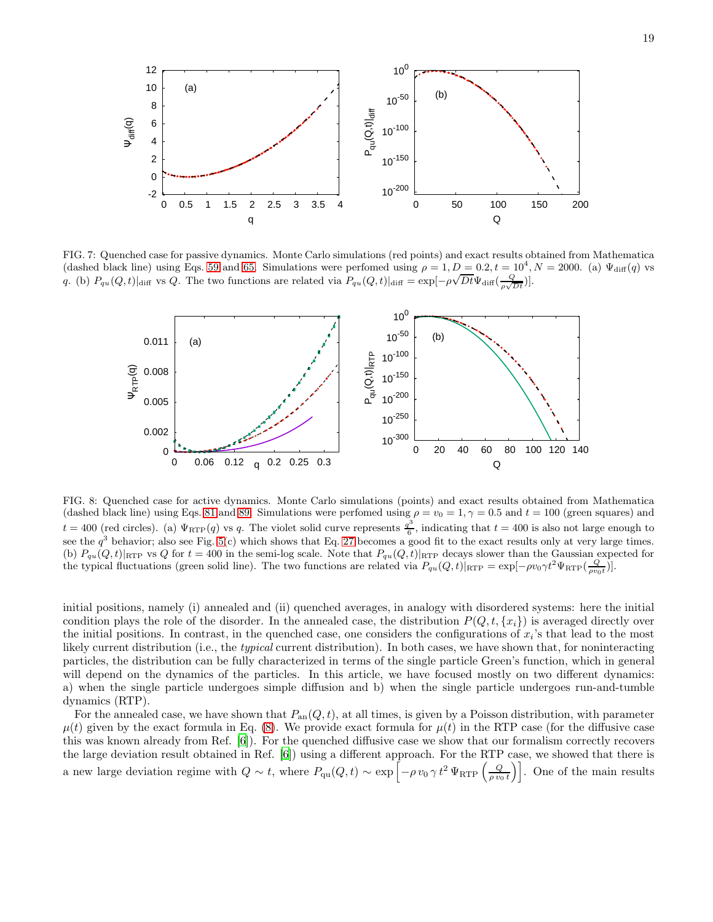

<span id="page-18-0"></span>FIG. 7: Quenched case for passive dynamics. Monte Carlo simulations (red points) and exact results obtained from Mathematica (dashed black line) using Eqs. [59](#page-9-0) and [65.](#page-10-0) Simulations were perfomed using  $\rho = 1, D = 0.2, t = 10^4, N = 2000$ . (a)  $\Psi_{diff}(q)$  vs (as the state of the state of the state and the presence along  $\varphi$ ,  $\bar{D}$ ,  $\bar{D}$ ,  $\bar{D}$ ,  $\bar{D}$ ,  $\bar{D}$ ,  $\bar{Q}$ ,  $\bar{Q}$ ,  $\bar{Q}$ ,  $\bar{Q}$ ,  $\bar{Q}$ ) and  $\bar{Q}$  and the state and  $\bar{Q}$  and  $\bar{Q}$  and  $\bar{Q}$ 



<span id="page-18-1"></span>FIG. 8: Quenched case for active dynamics. Monte Carlo simulations (points) and exact results obtained from Mathematica (dashed black line) using Eqs. [81](#page-12-0) and [89.](#page-14-0) Simulations were perfomed using  $\rho = v_0 = 1, \gamma = 0.5$  and  $t = 100$  (green squares) and  $t = 400$  (red circles). (a)  $\Psi_{\text{RTP}}(q)$  vs q. The violet solid curve represents  $\frac{q^3}{6}$  $\frac{dI}{6}$ , indicating that  $t = 400$  is also not large enough to see the  $q^3$  behavior; also see Fig. [5\(](#page-14-3)c) which shows that Eq. [27](#page-5-4) becomes a good fit to the exact results only at very large times. (b)  $P_{qu}(Q, t)|_{\text{RTP}}$  vs Q for  $t = 400$  in the semi-log scale. Note that  $P_{qu}(Q, t)|_{\text{RTP}}$  decays slower than the Gaussian expected for the typical fluctuations (green solid line). The two functions are related via  $P_{qu}(Q, t)|_{\text{RTP}} = \exp[-\rho v_0 \gamma t^2 \Psi_{\text{RTP}}(\frac{Q}{\rho v_0 t})]$ .

initial positions, namely (i) annealed and (ii) quenched averages, in analogy with disordered systems: here the initial condition plays the role of the disorder. In the annealed case, the distribution  $P(Q, t, \{x_i\})$  is averaged directly over the initial positions. In contrast, in the quenched case, one considers the configurations of  $x_i$ 's that lead to the most likely current distribution (i.e., the typical current distribution). In both cases, we have shown that, for noninteracting particles, the distribution can be fully characterized in terms of the single particle Green's function, which in general will depend on the dynamics of the particles. In this article, we have focused mostly on two different dynamics: a) when the single particle undergoes simple diffusion and b) when the single particle undergoes run-and-tumble dynamics (RTP).

For the annealed case, we have shown that  $P_{an}(Q, t)$ , at all times, is given by a Poisson distribution, with parameter  $\mu(t)$  given by the exact formula in Eq. [\(8\)](#page-2-3). We provide exact formula for  $\mu(t)$  in the RTP case (for the diffusive case this was known already from Ref. [\[6](#page-20-3)]). For the quenched diffusive case we show that our formalism correctly recovers the large deviation result obtained in Ref. [\[6](#page-20-3)]) using a different approach. For the RTP case, we showed that there is a new large deviation regime with  $Q \sim t$ , where  $P_{\text{qu}}(Q, t) \sim \exp \left[ -\rho v_0 \gamma t^2 \Psi_{\text{RTP}} \left( \frac{Q}{\rho v_0 t} \right) \right]$ . One of the main results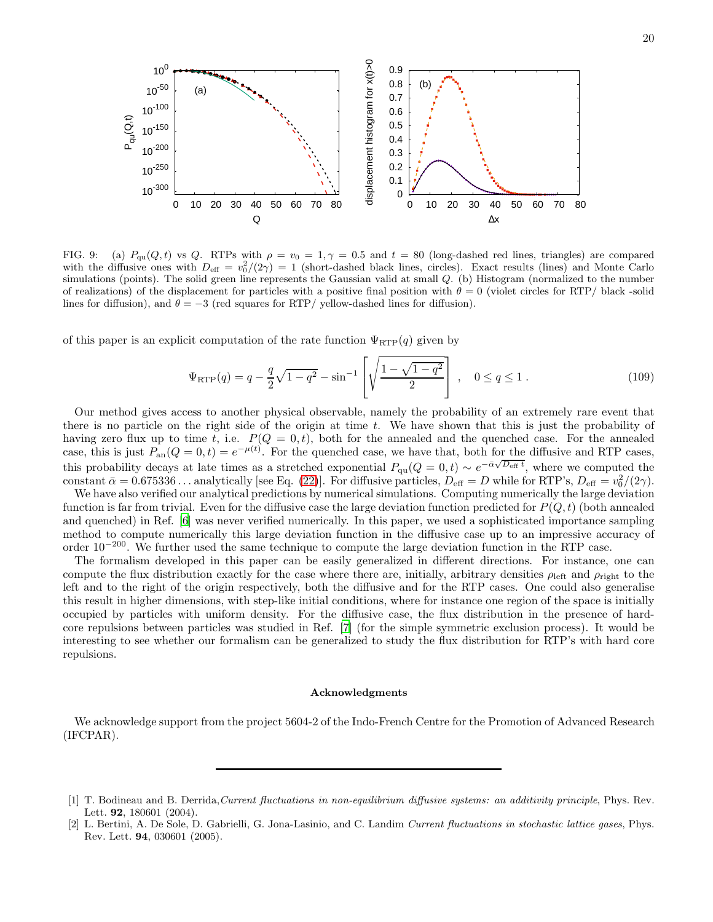

<span id="page-19-1"></span>FIG. 9: (a)  $P_{qu}(Q, t)$  vs Q. RTPs with  $\rho = v_0 = 1, \gamma = 0.5$  and  $t = 80$  (long-dashed red lines, triangles) are compared with the diffusive ones with  $D_{\text{eff}} = v_0^2/(2\gamma) = 1$  (short-dashed black lines, circles). Exact results (lines) and Monte Carlo simulations (points). The solid green line represents the Gaussian valid at small  $Q$ . (b) Histogram (normalized to the number of realizations) of the displacement for particles with a positive final position with  $\theta = 0$  (violet circles for RTP/ black -solid lines for diffusion), and  $\theta = -3$  (red squares for RTP/ yellow-dashed lines for diffusion).

of this paper is an explicit computation of the rate function  $\Psi_{\text{RTP}}(q)$  given by

$$
\Psi_{\rm RTP}(q) = q - \frac{q}{2}\sqrt{1 - q^2} - \sin^{-1}\left[\sqrt{\frac{1 - \sqrt{1 - q^2}}{2}}\right], \quad 0 \le q \le 1.
$$
\n(109)

Our method gives access to another physical observable, namely the probability of an extremely rare event that there is no particle on the right side of the origin at time  $t$ . We have shown that this is just the probability of having zero flux up to time t, i.e.  $P(Q = 0,t)$ , both for the annealed and the quenched case. For the annealed case, this is just  $P_{\text{an}}(Q=0,t) = e^{-\mu(t)}$ . For the quenched case, we have that, both for the diffusive and RTP cases, this probability decays at late times as a stretched exponential  $P_{\text{qu}}(Q=0,t) \sim e^{-\bar{\alpha}\sqrt{D_{\text{eff}}t}}$ , where we computed the constant  $\bar{\alpha} = 0.675336...$  analytically [see Eq. [\(22\)](#page-5-2)]. For diffusive particles,  $D_{\text{eff}} = D$  while for RTP's,  $D_{\text{eff}} = v_0^2/(2\gamma)$ .

We have also verified our analytical predictions by numerical simulations. Computing numerically the large deviation function is far from trivial. Even for the diffusive case the large deviation function predicted for  $P(Q, t)$  (both annealed and quenched) in Ref. [\[6\]](#page-20-3) was never verified numerically. In this paper, we used a sophisticated importance sampling method to compute numerically this large deviation function in the diffusive case up to an impressive accuracy of order 10−<sup>200</sup>. We further used the same technique to compute the large deviation function in the RTP case.

The formalism developed in this paper can be easily generalized in different directions. For instance, one can compute the flux distribution exactly for the case where there are, initially, arbitrary densities  $\rho_{\text{left}}$  and  $\rho_{\text{right}}$  to the left and to the right of the origin respectively, both the diffusive and for the RTP cases. One could also generalise this result in higher dimensions, with step-like initial conditions, where for instance one region of the space is initially occupied by particles with uniform density. For the diffusive case, the flux distribution in the presence of hardcore repulsions between particles was studied in Ref. [\[7\]](#page-20-4) (for the simple symmetric exclusion process). It would be interesting to see whether our formalism can be generalized to study the flux distribution for RTP's with hard core repulsions.

#### Acknowledgments

We acknowledge support from the project 5604-2 of the Indo-French Centre for the Promotion of Advanced Research (IFCPAR).

<span id="page-19-0"></span><sup>[1]</sup> T. Bodineau and B. Derrida,Current fluctuations in non-equilibrium diffusive systems: an additivity principle, Phys. Rev. Lett. 92, 180601 (2004).

<sup>[2]</sup> L. Bertini, A. De Sole, D. Gabrielli, G. Jona-Lasinio, and C. Landim Current fluctuations in stochastic lattice gases, Phys. Rev. Lett. 94, 030601 (2005).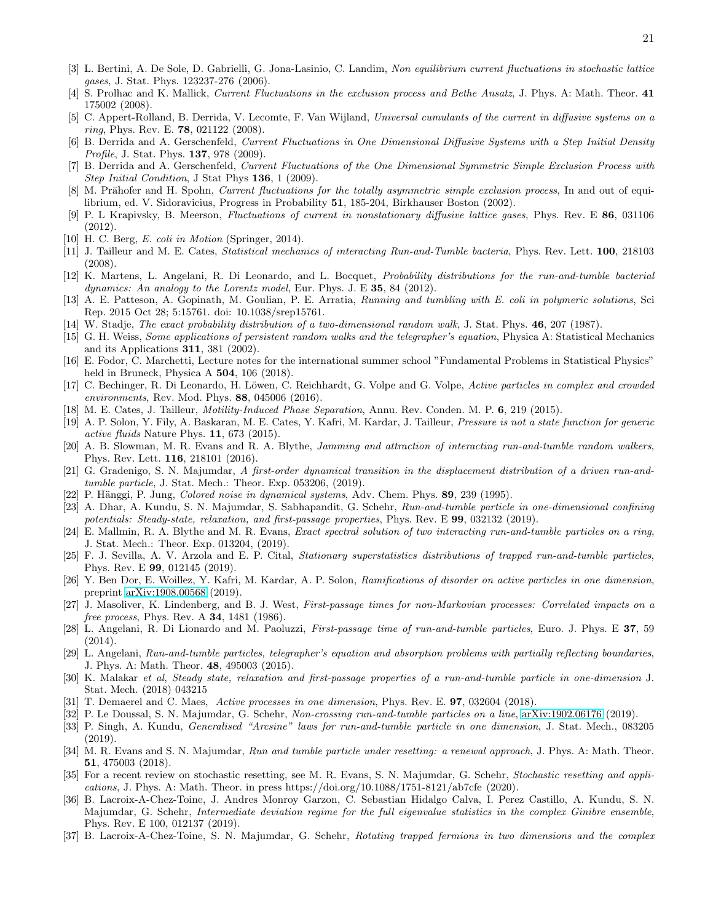- <span id="page-20-2"></span>[3] L. Bertini, A. De Sole, D. Gabrielli, G. Jona-Lasinio, C. Landim, Non equilibrium current fluctuations in stochastic lattice gases, J. Stat. Phys. 123237-276 (2006).
- [4] S. Prolhac and K. Mallick, Current Fluctuations in the exclusion process and Bethe Ansatz, J. Phys. A: Math. Theor. 41 175002 (2008).
- [5] C. Appert-Rolland, B. Derrida, V. Lecomte, F. Van Wijland, Universal cumulants of the current in diffusive systems on a ring, Phys. Rev. E. **78**, 021122 (2008).
- <span id="page-20-3"></span>[6] B. Derrida and A. Gerschenfeld, Current Fluctuations in One Dimensional Diffusive Systems with a Step Initial Density Profile, J. Stat. Phys. **137**, 978 (2009).
- <span id="page-20-4"></span>[7] B. Derrida and A. Gerschenfeld, Current Fluctuations of the One Dimensional Symmetric Simple Exclusion Process with Step Initial Condition, J Stat Phys 136, 1 (2009).
- <span id="page-20-1"></span>M. Prähofer and H. Spohn, Current fluctuations for the totally asymmetric simple exclusion process, In and out of equilibrium, ed. V. Sidoravicius, Progress in Probability 51, 185-204, Birkhauser Boston (2002).
- <span id="page-20-0"></span>[9] P. L Krapivsky, B. Meerson, Fluctuations of current in nonstationary diffusive lattice gases, Phys. Rev. E 86, 031106 (2012).
- <span id="page-20-5"></span>[10] H. C. Berg, E. coli in Motion (Springer, 2014).
- [11] J. Tailleur and M. E. Cates, Statistical mechanics of interacting Run-and-Tumble bacteria, Phys. Rev. Lett. 100, 218103 (2008).
- <span id="page-20-11"></span>[12] K. Martens, L. Angelani, R. Di Leonardo, and L. Bocquet, Probability distributions for the run-and-tumble bacterial dynamics: An analogy to the Lorentz model, Eur. Phys. J. E  $35$ ,  $84$  (2012).
- <span id="page-20-6"></span>[13] A. E. Patteson, A. Gopinath, M. Goulian, P. E. Arratia, Running and tumbling with E. coli in polymeric solutions, Sci Rep. 2015 Oct 28; 5:15761. doi: 10.1038/srep15761.
- <span id="page-20-7"></span>[14] W. Stadje, The exact probability distribution of a two-dimensional random walk, J. Stat. Phys. 46, 207 (1987).
- <span id="page-20-8"></span>[15] G. H. Weiss, Some applications of persistent random walks and the telegrapher's equation, Physica A: Statistical Mechanics and its Applications 311, 381 (2002).
- <span id="page-20-9"></span>[16] E. Fodor, C. Marchetti, Lecture notes for the international summer school "Fundamental Problems in Statistical Physics" held in Bruneck, Physica A 504, 106 (2018).
- [17] C. Bechinger, R. Di Leonardo, H. Löwen, C. Reichhardt, G. Volpe and G. Volpe, Active particles in complex and crowded environments, Rev. Mod. Phys. 88, 045006 (2016).
- [18] M. E. Cates, J. Tailleur, Motility-Induced Phase Separation, Annu. Rev. Conden. M. P. 6, 219 (2015).
- <span id="page-20-13"></span>[19] A. P. Solon, Y. Fily, A. Baskaran, M. E. Cates, Y. Kafri, M. Kardar, J. Tailleur, Pressure is not a state function for generic active fluids Nature Phys. 11, 673 (2015).
- <span id="page-20-10"></span>[20] A. B. Slowman, M. R. Evans and R. A. Blythe, Jamming and attraction of interacting run-and-tumble random walkers, Phys. Rev. Lett. 116, 218101 (2016).
- <span id="page-20-12"></span>[21] G. Gradenigo, S. N. Majumdar, A first-order dynamical transition in the displacement distribution of a driven run-andtumble particle, J. Stat. Mech.: Theor. Exp. 053206, (2019).
- <span id="page-20-14"></span>[22] P. Hänggi, P. Jung, *Colored noise in dynamical systems*, Adv. Chem. Phys. **89**, 239 (1995).
- [23] A. Dhar, A. Kundu, S. N. Majumdar, S. Sabhapandit, G. Schehr, Run-and-tumble particle in one-dimensional confining potentials: Steady-state, relaxation, and first-passage properties, Phys. Rev. E 99, 032132 (2019).
- [24] E. Mallmin, R. A. Blythe and M. R. Evans, Exact spectral solution of two interacting run-and-tumble particles on a ring, J. Stat. Mech.: Theor. Exp. 013204, (2019).
- <span id="page-20-15"></span>[25] F. J. Sevilla, A. V. Arzola and E. P. Cital, Stationary superstatistics distributions of trapped run-and-tumble particles, Phys. Rev. E 99, 012145 (2019).
- <span id="page-20-16"></span>[26] Y. Ben Dor, E. Woillez, Y. Kafri, M. Kardar, A. P. Solon, Ramifications of disorder on active particles in one dimension, preprint [arXiv:1908.00568](http://arxiv.org/abs/1908.00568) (2019).
- <span id="page-20-17"></span>[27] J. Masoliver, K. Lindenberg, and B. J. West, First-passage times for non-Markovian processes: Correlated impacts on a free process, Phys. Rev. A **34**, 1481 (1986).
- [28] L. Angelani, R. Di Lionardo and M. Paoluzzi, First-passage time of run-and-tumble particles, Euro. J. Phys. E 37, 59 (2014).
- [29] L. Angelani, Run-and-tumble particles, telegrapher's equation and absorption problems with partially reflecting boundaries, J. Phys. A: Math. Theor. 48, 495003 (2015).
- [30] K. Malakar et al, Steady state, relaxation and first-passage properties of a run-and-tumble particle in one-dimension J. Stat. Mech. (2018) 043215
- [31] T. Demaerel and C. Maes, Active processes in one dimension, Phys. Rev. E. 97, 032604 (2018).
- <span id="page-20-18"></span>[32] P. Le Doussal, S. N. Majumdar, G. Schehr, Non-crossing run-and-tumble particles on a line, [arXiv:1902.06176](http://arxiv.org/abs/1902.06176) (2019).
- <span id="page-20-19"></span>[33] P. Singh, A. Kundu, Generalised "Arcsine" laws for run-and-tumble particle in one dimension, J. Stat. Mech., 083205 (2019).
- <span id="page-20-20"></span>[34] M. R. Evans and S. N. Majumdar, Run and tumble particle under resetting: a renewal approach, J. Phys. A: Math. Theor. 51, 475003 (2018).
- <span id="page-20-21"></span>[35] For a recent review on stochastic resetting, see M. R. Evans, S. N. Majumdar, G. Schehr, Stochastic resetting and applications, J. Phys. A: Math. Theor. in press https://doi.org/10.1088/1751-8121/ab7cfe (2020).
- <span id="page-20-22"></span>[36] B. Lacroix-A-Chez-Toine, J. Andres Monroy Garzon, C. Sebastian Hidalgo Calva, I. Perez Castillo, A. Kundu, S. N. Majumdar, G. Schehr, Intermediate deviation regime for the full eigenvalue statistics in the complex Ginibre ensemble, Phys. Rev. E 100, 012137 (2019).
- <span id="page-20-23"></span>[37] B. Lacroix-A-Chez-Toine, S. N. Majumdar, G. Schehr, Rotating trapped fermions in two dimensions and the complex